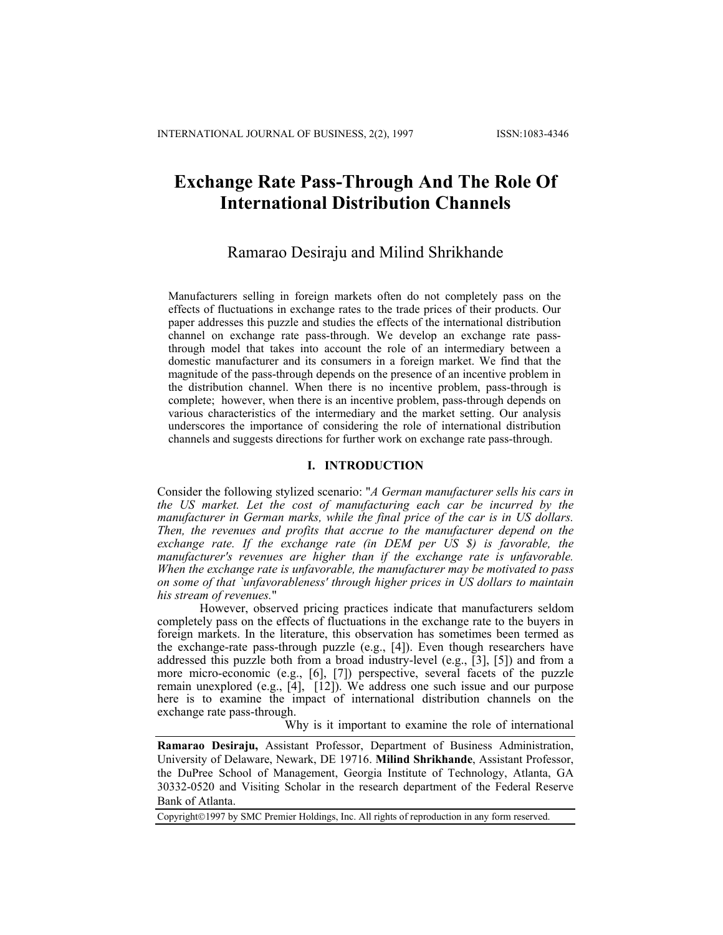# **Exchange Rate Pass-Through And The Role Of International Distribution Channels**

## Ramarao Desiraju and Milind Shrikhande

Manufacturers selling in foreign markets often do not completely pass on the effects of fluctuations in exchange rates to the trade prices of their products. Our paper addresses this puzzle and studies the effects of the international distribution channel on exchange rate pass-through. We develop an exchange rate passthrough model that takes into account the role of an intermediary between a domestic manufacturer and its consumers in a foreign market. We find that the magnitude of the pass-through depends on the presence of an incentive problem in the distribution channel. When there is no incentive problem, pass-through is complete; however, when there is an incentive problem, pass-through depends on various characteristics of the intermediary and the market setting. Our analysis underscores the importance of considering the role of international distribution channels and suggests directions for further work on exchange rate pass-through.

### **I. INTRODUCTION**

Consider the following stylized scenario: "*A German manufacturer sells his cars in the US market. Let the cost of manufacturing each car be incurred by the manufacturer in German marks, while the final price of the car is in US dollars. Then, the revenues and profits that accrue to the manufacturer depend on the exchange rate. If the exchange rate (in DEM per US \$) is favorable, the manufacturer's revenues are higher than if the exchange rate is unfavorable. When the exchange rate is unfavorable, the manufacturer may be motivated to pass on some of that `unfavorableness' through higher prices in US dollars to maintain his stream of revenues.*"

However, observed pricing practices indicate that manufacturers seldom completely pass on the effects of fluctuations in the exchange rate to the buyers in foreign markets. In the literature, this observation has sometimes been termed as the exchange-rate pass-through puzzle (e.g., [4]). Even though researchers have addressed this puzzle both from a broad industry-level (e.g., [3], [5]) and from a more micro-economic (e.g., [6], [7]) perspective, several facets of the puzzle remain unexplored (e.g., [4], [12]). We address one such issue and our purpose here is to examine the impact of international distribution channels on the exchange rate pass-through.

Why is it important to examine the role of international

**Ramarao Desiraju,** Assistant Professor, Department of Business Administration, University of Delaware, Newark, DE 19716. **Milind Shrikhande**, Assistant Professor, the DuPree School of Management, Georgia Institute of Technology, Atlanta, GA 30332-0520 and Visiting Scholar in the research department of the Federal Reserve Bank of Atlanta.

Copyright©1997 by SMC Premier Holdings, Inc. All rights of reproduction in any form reserved.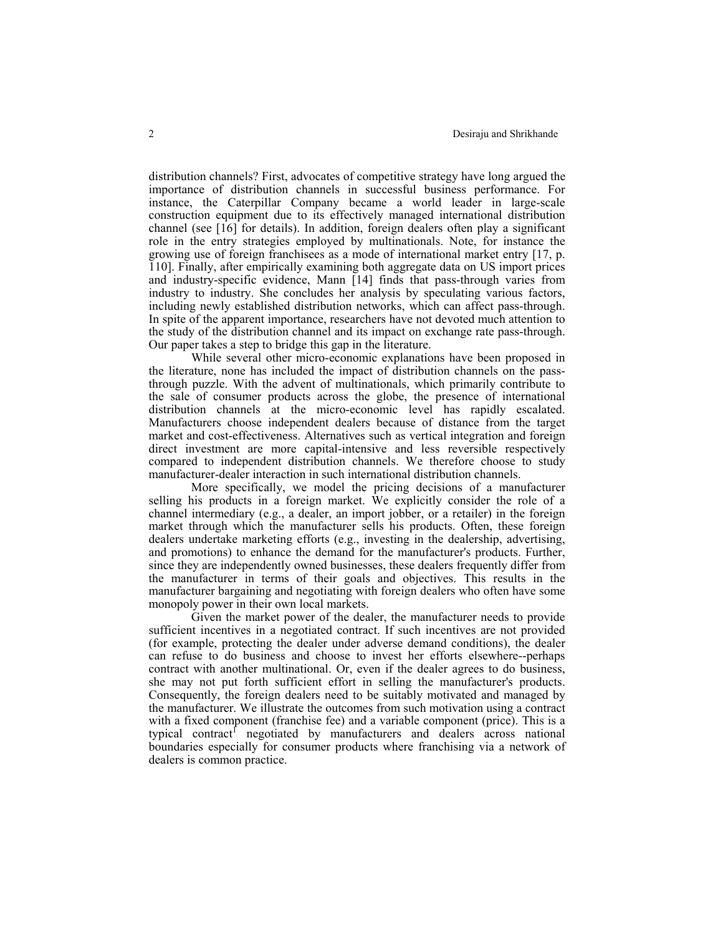distribution channels? First, advocates of competitive strategy have long argued the importance of distribution channels in successful business performance. For instance, the Caterpillar Company became a world leader in large-scale construction equipment due to its effectively managed international distribution channel (see [16] for details). In addition, foreign dealers often play a significant role in the entry strategies employed by multinationals. Note, for instance the growing use of foreign franchisees as a mode of international market entry [17, p. 110]. Finally, after empirically examining both aggregate data on US import prices and industry-specific evidence, Mann [14] finds that pass-through varies from industry to industry. She concludes her analysis by speculating various factors, including newly established distribution networks, which can affect pass-through. In spite of the apparent importance, researchers have not devoted much attention to the study of the distribution channel and its impact on exchange rate pass-through. Our paper takes a step to bridge this gap in the literature.

 While several other micro-economic explanations have been proposed in the literature, none has included the impact of distribution channels on the passthrough puzzle. With the advent of multinationals, which primarily contribute to the sale of consumer products across the globe, the presence of international distribution channels at the micro-economic level has rapidly escalated. Manufacturers choose independent dealers because of distance from the target market and cost-effectiveness. Alternatives such as vertical integration and foreign direct investment are more capital-intensive and less reversible respectively compared to independent distribution channels. We therefore choose to study manufacturer-dealer interaction in such international distribution channels.

 More specifically, we model the pricing decisions of a manufacturer selling his products in a foreign market. We explicitly consider the role of a channel intermediary (e.g., a dealer, an import jobber, or a retailer) in the foreign market through which the manufacturer sells his products. Often, these foreign dealers undertake marketing efforts (e.g., investing in the dealership, advertising, and promotions) to enhance the demand for the manufacturer's products. Further, since they are independently owned businesses, these dealers frequently differ from the manufacturer in terms of their goals and objectives. This results in the manufacturer bargaining and negotiating with foreign dealers who often have some monopoly power in their own local markets.

Given the market power of the dealer, the manufacturer needs to provide sufficient incentives in a negotiated contract. If such incentives are not provided (for example, protecting the dealer under adverse demand conditions), the dealer can refuse to do business and choose to invest her efforts elsewhere--perhaps contract with another multinational. Or, even if the dealer agrees to do business, she may not put forth sufficient effort in selling the manufacturer's products. Consequently, the foreign dealers need to be suitably motivated and managed by the manufacturer. We illustrate the outcomes from such motivation using a contract with a fixed component (franchise fee) and a variable component (price). This is a typical contract<sup>1</sup> negotiated by manufacturers and dealers across national boundaries especially for consumer products where franchising via a network of dealers is common practice.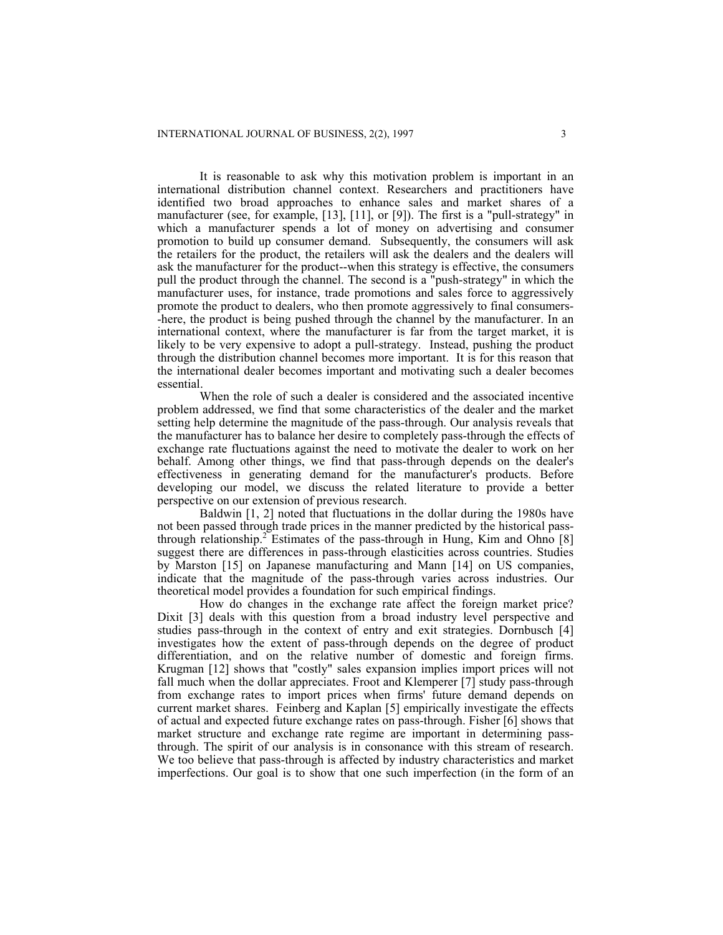It is reasonable to ask why this motivation problem is important in an international distribution channel context. Researchers and practitioners have identified two broad approaches to enhance sales and market shares of a manufacturer (see, for example, [13], [11], or [9]). The first is a "pull-strategy" in which a manufacturer spends a lot of money on advertising and consumer promotion to build up consumer demand. Subsequently, the consumers will ask the retailers for the product, the retailers will ask the dealers and the dealers will ask the manufacturer for the product--when this strategy is effective, the consumers pull the product through the channel. The second is a "push-strategy" in which the manufacturer uses, for instance, trade promotions and sales force to aggressively promote the product to dealers, who then promote aggressively to final consumers- -here, the product is being pushed through the channel by the manufacturer. In an international context, where the manufacturer is far from the target market, it is likely to be very expensive to adopt a pull-strategy. Instead, pushing the product through the distribution channel becomes more important. It is for this reason that the international dealer becomes important and motivating such a dealer becomes essential.

 When the role of such a dealer is considered and the associated incentive problem addressed, we find that some characteristics of the dealer and the market setting help determine the magnitude of the pass-through. Our analysis reveals that the manufacturer has to balance her desire to completely pass-through the effects of exchange rate fluctuations against the need to motivate the dealer to work on her behalf. Among other things, we find that pass-through depends on the dealer's effectiveness in generating demand for the manufacturer's products. Before developing our model, we discuss the related literature to provide a better perspective on our extension of previous research.

 Baldwin [1, 2] noted that fluctuations in the dollar during the 1980s have not been passed through trade prices in the manner predicted by the historical passthrough relationship.<sup>2</sup> Estimates of the pass-through in Hung, Kim and Ohno [8] suggest there are differences in pass-through elasticities across countries. Studies by Marston [15] on Japanese manufacturing and Mann [14] on US companies, indicate that the magnitude of the pass-through varies across industries. Our theoretical model provides a foundation for such empirical findings.

 How do changes in the exchange rate affect the foreign market price? Dixit [3] deals with this question from a broad industry level perspective and studies pass-through in the context of entry and exit strategies. Dornbusch [4] investigates how the extent of pass-through depends on the degree of product differentiation, and on the relative number of domestic and foreign firms. Krugman [12] shows that "costly" sales expansion implies import prices will not fall much when the dollar appreciates. Froot and Klemperer [7] study pass-through from exchange rates to import prices when firms' future demand depends on current market shares. Feinberg and Kaplan [5] empirically investigate the effects of actual and expected future exchange rates on pass-through. Fisher [6] shows that market structure and exchange rate regime are important in determining passthrough. The spirit of our analysis is in consonance with this stream of research. We too believe that pass-through is affected by industry characteristics and market imperfections. Our goal is to show that one such imperfection (in the form of an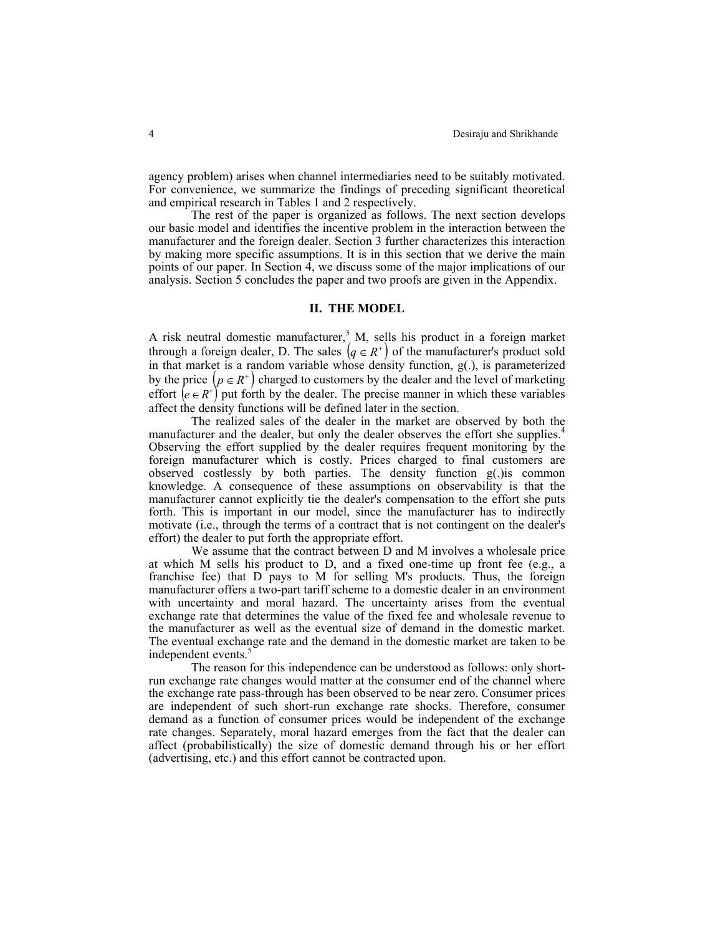agency problem) arises when channel intermediaries need to be suitably motivated. For convenience, we summarize the findings of preceding significant theoretical and empirical research in Tables 1 and 2 respectively.

The rest of the paper is organized as follows. The next section develops our basic model and identifies the incentive problem in the interaction between the manufacturer and the foreign dealer. Section 3 further characterizes this interaction by making more specific assumptions. It is in this section that we derive the main points of our paper. In Section 4, we discuss some of the major implications of our analysis. Section 5 concludes the paper and two proofs are given in the Appendix.

#### **II. THE MODEL**

A risk neutral domestic manufacturer,<sup>3</sup> M, sells his product in a foreign market through a foreign dealer, D. The sales  $(q \in R^+)$  of the manufacturer's product sold in that market is a random variable whose density function, g(.), is parameterized by the price  $(p \in R^+)$  charged to customers by the dealer and the level of marketing effort  $\{e \in R^+\}$  put forth by the dealer. The precise manner in which these variables affect the density functions will be defined later in the section.

The realized sales of the dealer in the market are observed by both the manufacturer and the dealer, but only the dealer observes the effort she supplies.<sup>4</sup> Observing the effort supplied by the dealer requires frequent monitoring by the foreign manufacturer which is costly. Prices charged to final customers are observed costlessly by both parties. The density function g(.)is common knowledge. A consequence of these assumptions on observability is that the manufacturer cannot explicitly tie the dealer's compensation to the effort she puts forth. This is important in our model, since the manufacturer has to indirectly motivate (i.e., through the terms of a contract that is not contingent on the dealer's effort) the dealer to put forth the appropriate effort.

We assume that the contract between D and M involves a wholesale price at which M sells his product to D, and a fixed one-time up front fee (e.g., a franchise fee) that D pays to M for selling M's products. Thus, the foreign manufacturer offers a two-part tariff scheme to a domestic dealer in an environment with uncertainty and moral hazard. The uncertainty arises from the eventual exchange rate that determines the value of the fixed fee and wholesale revenue to the manufacturer as well as the eventual size of demand in the domestic market. The eventual exchange rate and the demand in the domestic market are taken to be independent events.<sup>5</sup>

The reason for this independence can be understood as follows: only shortrun exchange rate changes would matter at the consumer end of the channel where the exchange rate pass-through has been observed to be near zero. Consumer prices are independent of such short-run exchange rate shocks. Therefore, consumer demand as a function of consumer prices would be independent of the exchange rate changes. Separately, moral hazard emerges from the fact that the dealer can affect (probabilistically) the size of domestic demand through his or her effort (advertising, etc.) and this effort cannot be contracted upon.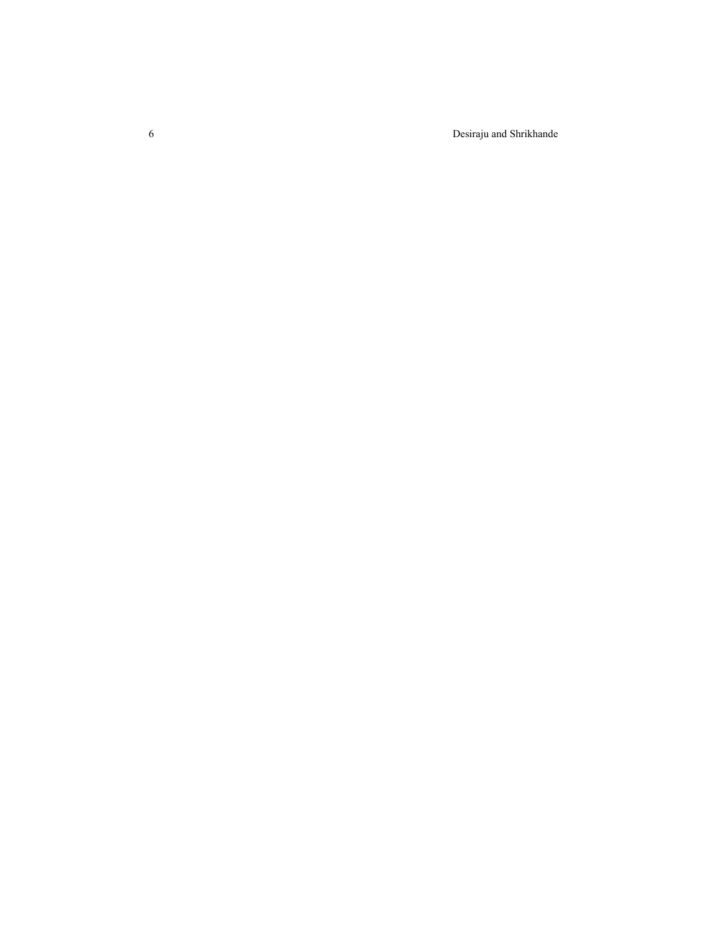6 Desiraju and Shrikhande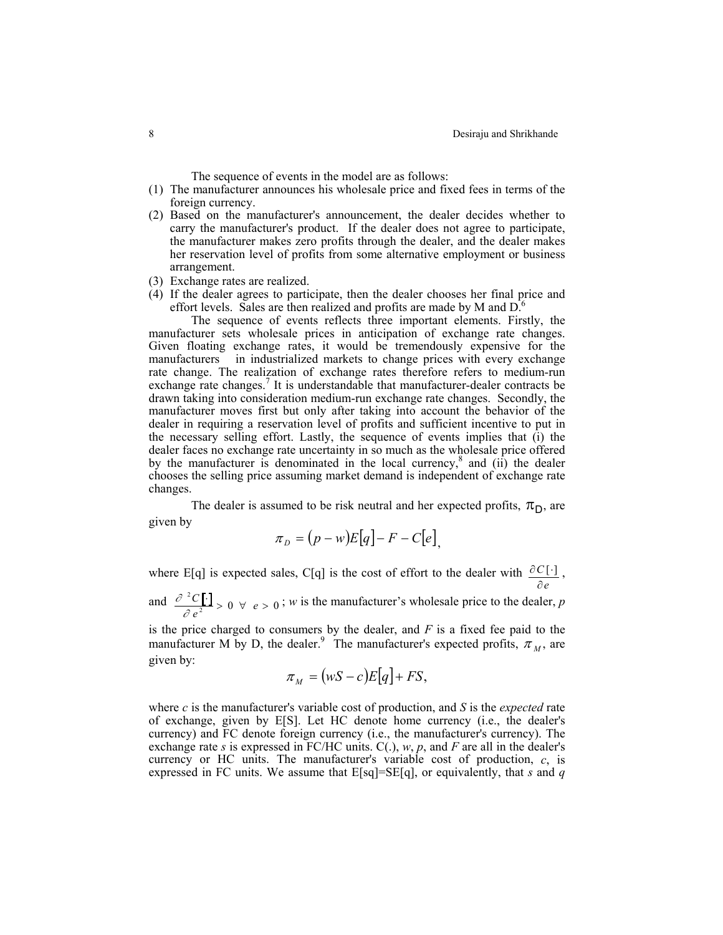The sequence of events in the model are as follows:

- (1) The manufacturer announces his wholesale price and fixed fees in terms of the foreign currency.
- (2) Based on the manufacturer's announcement, the dealer decides whether to carry the manufacturer's product. If the dealer does not agree to participate, the manufacturer makes zero profits through the dealer, and the dealer makes her reservation level of profits from some alternative employment or business arrangement.
- (3) Exchange rates are realized.
- (4) If the dealer agrees to participate, then the dealer chooses her final price and effort levels. Sales are then realized and profits are made by M and  $D^6$ .

The sequence of events reflects three important elements. Firstly, the manufacturer sets wholesale prices in anticipation of exchange rate changes. Given floating exchange rates, it would be tremendously expensive for the manufacturers in industrialized markets to change prices with every exchange rate change. The realization of exchange rates therefore refers to medium-run exchange rate changes.<sup>7</sup> It is understandable that manufacturer-dealer contracts be drawn taking into consideration medium-run exchange rate changes. Secondly, the manufacturer moves first but only after taking into account the behavior of the dealer in requiring a reservation level of profits and sufficient incentive to put in the necessary selling effort. Lastly, the sequence of events implies that (i) the dealer faces no exchange rate uncertainty in so much as the wholesale price offered by the manufacturer is denominated in the local currency, $\delta$  and (ii) the dealer chooses the selling price assuming market demand is independent of exchange rate changes.

The dealer is assumed to be risk neutral and her expected profits,  $\pi_D$ , are given by

$$
\pi_D = (p - w)E[q] - F - C[e],
$$

where  $E[q]$  is expected sales,  $C[q]$  is the cost of effort to the dealer with *e C* ∂  $\partial C[\cdot]$ ,

and <sup>∂</sup> ∂  $\frac{2}{\pi}$  e<sup>2</sup>  $\left[\frac{1}{\pi}\right]$  > 0  $\forall e > 0$ ; *w* is the manufacturer's wholesale price to the dealer, *p* 

is the price charged to consumers by the dealer, and *F* is a fixed fee paid to the manufacturer M by D, the dealer.<sup>9</sup> The manufacturer's expected profits,  $\pi_{M}$ , are given by:

$$
\pi_M = (wS - c)E[q] + FS,
$$

where *c* is the manufacturer's variable cost of production, and *S* is the *expected* rate of exchange, given by E[S]. Let HC denote home currency (i.e., the dealer's currency) and FC denote foreign currency (i.e., the manufacturer's currency). The exchange rate *s* is expressed in FC/HC units. C(.), *w*, *p*, and *F* are all in the dealer's currency or HC units. The manufacturer's variable cost of production, *c*, is expressed in FC units. We assume that E[sq]=SE[q], or equivalently, that *s* and *q*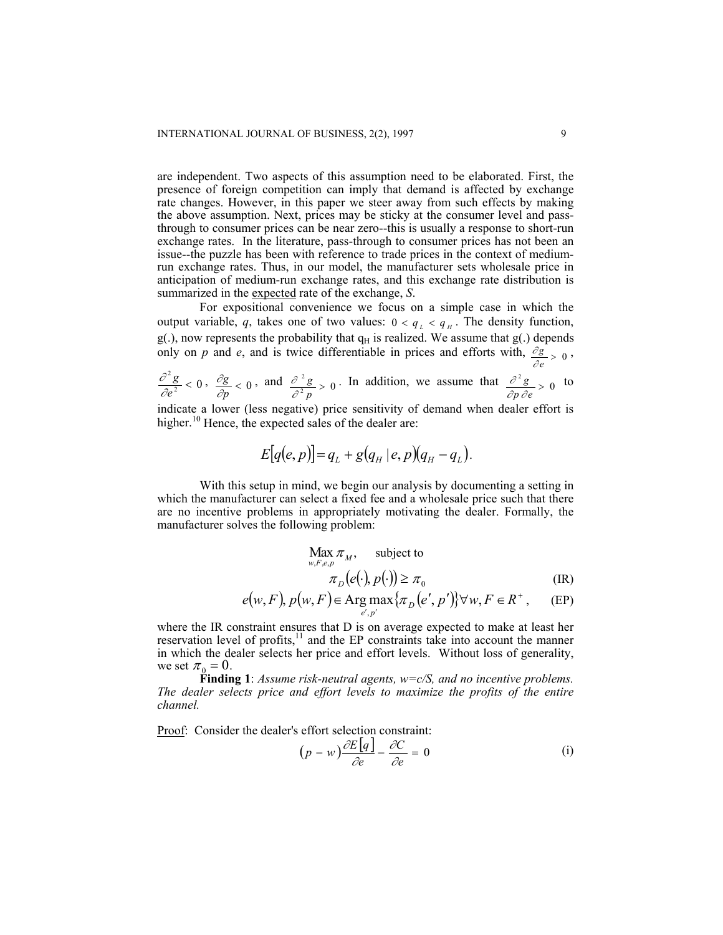are independent. Two aspects of this assumption need to be elaborated. First, the presence of foreign competition can imply that demand is affected by exchange rate changes. However, in this paper we steer away from such effects by making the above assumption. Next, prices may be sticky at the consumer level and passthrough to consumer prices can be near zero--this is usually a response to short-run exchange rates. In the literature, pass-through to consumer prices has not been an issue--the puzzle has been with reference to trade prices in the context of mediumrun exchange rates. Thus, in our model, the manufacturer sets wholesale price in anticipation of medium-run exchange rates, and this exchange rate distribution is summarized in the expected rate of the exchange, *S*.

For expositional convenience we focus on a simple case in which the output variable, q, takes one of two values:  $0 < q_L < q_H$ . The density function,  $g(.)$ , now represents the probability that  $q_H$  is realized. We assume that  $g(.)$  depends only on *p* and *e*, and is twice differentiable in prices and efforts with,  $\frac{\partial}{\partial \theta}$  $\frac{g}{e}$  > 0, 0

∂ ∂  $\frac{2g}{e^2} < 0$ ,  $\frac{\partial g}{\partial x}$ *g*  $\frac{g}{p}$  < 0, and  $\frac{\partial}{\partial p}$  $\frac{2g}{p}$  > 0 · In addition, we assume that  $\frac{\partial^2 g}{\partial p \partial p}$  $\frac{\partial^2 g}{\partial \rho \partial e} > 0$  to indicate a lower (less negative) price sensitivity of demand when dealer effort is higher.<sup>10</sup> Hence, the expected sales of the dealer are:

$$
E[q(e, p)] = q_L + g(q_H | e, p)(q_H - q_L).
$$

With this setup in mind, we begin our analysis by documenting a setting in which the manufacturer can select a fixed fee and a wholesale price such that there are no incentive problems in appropriately motivating the dealer. Formally, the manufacturer solves the following problem:

$$
\begin{aligned}\n\text{Max } \pi_M, \quad \text{ subject to} \\
\pi_D(e(\cdot), p(\cdot)) &\ge \pi_0 \\
E) \text{ p(w, } E) &\le \text{Arg } \text{ mov } \left( \pi_{\text{max}}(e', n') \right) \forall w, E \in P^+ \tag{FD}.\n\end{aligned}
$$

$$
e(w, F), p(w, F) \in \operatorname{Arg} \max_{e', p'} \{ \pi_D(e', p') \} \forall w, F \in R^+ \,, \qquad \text{(EP)}
$$

where the IR constraint ensures that D is on average expected to make at least her reservation level of profits, $11$  and the EP constraints take into account the manner in which the dealer selects her price and effort levels. Without loss of generality, we set  $\pi_0 = 0$ .

 **Finding 1**: *Assume risk-neutral agents, w=c/S, and no incentive problems. The dealer selects price and effort levels to maximize the profits of the entire channel.*

Proof: Consider the dealer's effort selection constraint:

$$
(p - w)\frac{\partial E[q]}{\partial e} - \frac{\partial C}{\partial e} = 0
$$
 (i)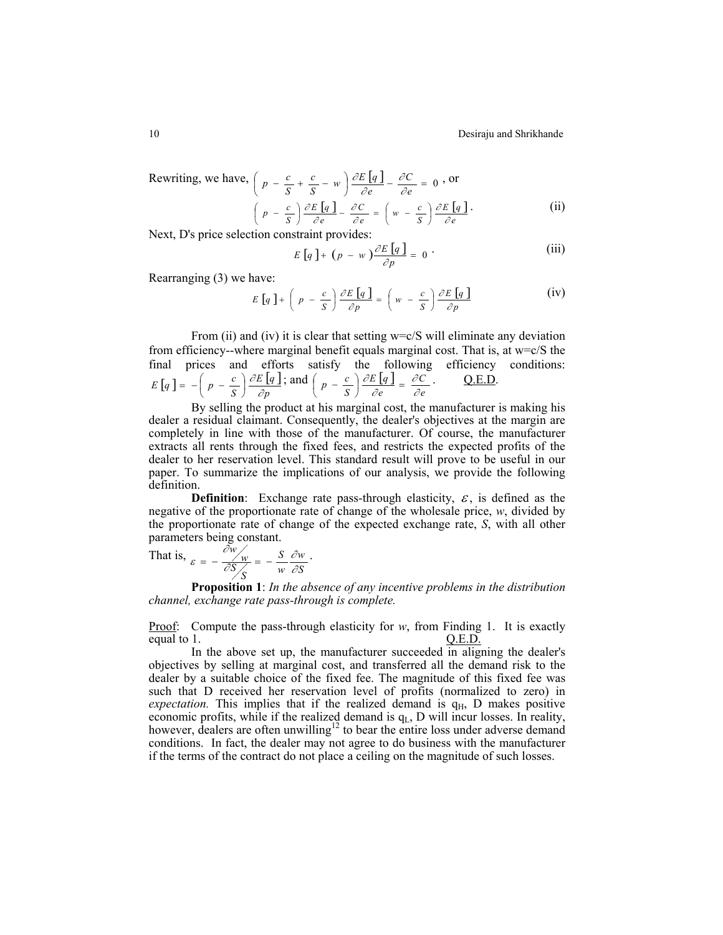Rewriting, we have,  $\left(p - \frac{c}{S} + \frac{c}{S} - w\right) \frac{\partial E[q]}{\partial e} - \frac{\partial C}{\partial e} = 0$ , or

$$
\begin{pmatrix} P & S & S & \cdots \end{pmatrix} \frac{\partial e}{\partial e} \qquad \frac{\partial e}{\partial e} \qquad \frac{\partial e}{\partial e} = \left( w - \frac{c}{S} \right) \frac{\partial E \left[ q \right]}{\partial e}. \tag{ii}
$$

Next, D's price selection constraint provides:

$$
E\left[q\right] + \left(p - w\right)\frac{\partial E\left[q\right]}{\partial p} = 0\tag{iii}
$$

Rearranging (3) we have:

$$
E\left[q\right] + \left(p - \frac{c}{S}\right)\frac{\partial E\left[q\right]}{\partial p} = \left(w - \frac{c}{S}\right)\frac{\partial E\left[q\right]}{\partial p} \tag{iv}
$$

From (ii) and (iv) it is clear that setting  $w=c/S$  will eliminate any deviation from efficiency--where marginal benefit equals marginal cost. That is, at w=c/S the final prices and efforts satisfy the following efficiency conditions:  $[q] = -\left(p - \frac{c}{S}\right) \frac{\partial E[q]}{\partial p}$ *E q*  $E[q] = -\left(p - \frac{c}{S}\right) \frac{\partial E[q]}{\partial p}$ ; and  $\left(p - \frac{c}{S}\right) \frac{\partial E[q]}{\partial e} = \frac{\partial C}{\partial e}$ *C e E q*  $p - \frac{c}{S}$  $\frac{\partial E \left[ q \right]}{\partial e} = \frac{\partial C}{\partial S}$ ∂  $\left(p - \frac{c}{S}\right) \frac{\partial E\left[q\right]}{\partial e} = \frac{\partial C}{\partial e}$   $\cdot$  <u>Q.E.D</u>.

By selling the product at his marginal cost, the manufacturer is making his dealer a residual claimant. Consequently, the dealer's objectives at the margin are completely in line with those of the manufacturer. Of course, the manufacturer extracts all rents through the fixed fees, and restricts the expected profits of the dealer to her reservation level. This standard result will prove to be useful in our paper. To summarize the implications of our analysis, we provide the following definition.

**Definition**: Exchange rate pass-through elasticity,  $\varepsilon$ , is defined as the negative of the proportionate rate of change of the wholesale price, *w*, divided by the proportionate rate of change of the expected exchange rate, *S*, with all other parameters being constant.

That is, 
$$
\varepsilon = -\frac{\partial w}{\partial S/S} = -\frac{S}{w} \frac{\partial w}{\partial S}
$$
.

 **Proposition 1**: *In the absence of any incentive problems in the distribution channel, exchange rate pass-through is complete.*

Proof: Compute the pass-through elasticity for  $w$ , from Finding 1. It is exactly equal to 1.  $O.E.D.$ 

In the above set up, the manufacturer succeeded in aligning the dealer's objectives by selling at marginal cost, and transferred all the demand risk to the dealer by a suitable choice of the fixed fee. The magnitude of this fixed fee was such that D received her reservation level of profits (normalized to zero) in  $expectation$ . This implies that if the realized demand is  $q<sub>H</sub>$ , D makes positive economic profits, while if the realized demand is  $q_L$ , D will incur losses. In reality, however, dealers are often unwilling<sup>12</sup> to bear the entire loss under adverse demand conditions. In fact, the dealer may not agree to do business with the manufacturer if the terms of the contract do not place a ceiling on the magnitude of such losses.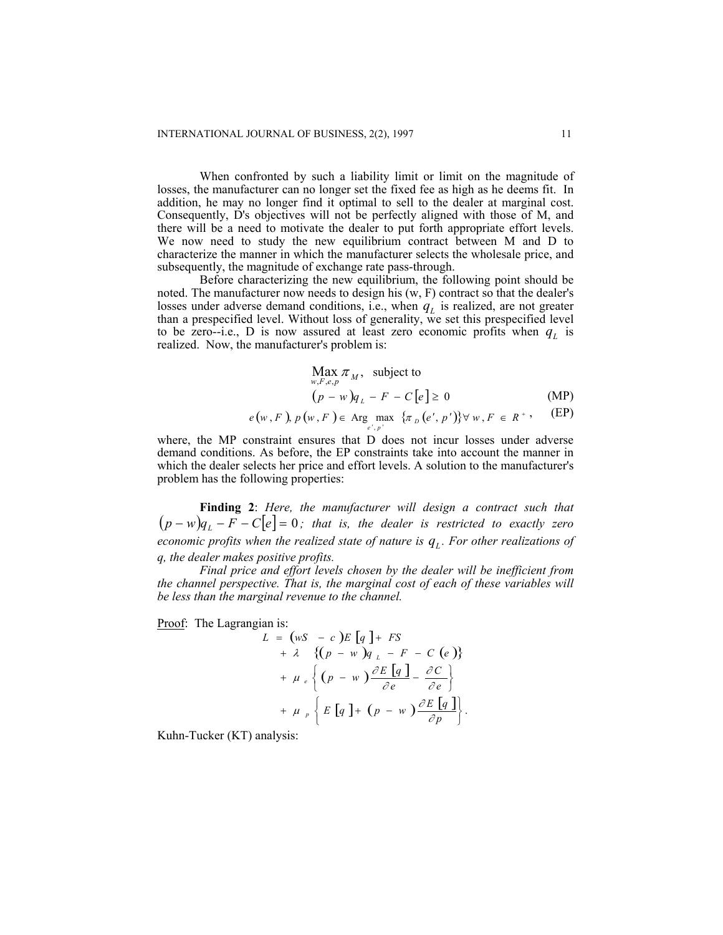When confronted by such a liability limit or limit on the magnitude of losses, the manufacturer can no longer set the fixed fee as high as he deems fit. In addition, he may no longer find it optimal to sell to the dealer at marginal cost. Consequently, D's objectives will not be perfectly aligned with those of M, and there will be a need to motivate the dealer to put forth appropriate effort levels. We now need to study the new equilibrium contract between M and D to characterize the manner in which the manufacturer selects the wholesale price, and subsequently, the magnitude of exchange rate pass-through.

Before characterizing the new equilibrium, the following point should be noted. The manufacturer now needs to design his (w, F) contract so that the dealer's losses under adverse demand conditions, i.e., when  $q_L$  is realized, are not greater than a prespecified level. Without loss of generality, we set this prespecified level to be zero--i.e., D is now assured at least zero economic profits when  $q_L$  is realized. Now, the manufacturer's problem is:

$$
\begin{aligned}\n\text{Max } \pi_M, \quad \text{subject to} \\
(p - w) q_L - F - C[e] &\geq 0 \quad \text{(MP)} \\
e(w, F), p(w, F) &\in \text{Arg} \max_{e', p'} \{\pi_D(e', p')\} \forall w, F \in R^+, \quad \text{(EP)}\n\end{aligned}
$$

where, the MP constraint ensures that D does not incur losses under adverse demand conditions. As before, the EP constraints take into account the manner in which the dealer selects her price and effort levels. A solution to the manufacturer's problem has the following properties:

 **Finding 2**: *Here, the manufacturer will design a contract such that*   $(p - w)q_L - F - C[e] = 0$ ; that is, the dealer is restricted to exactly zero *economic profits when the realized state of nature is*  $q_L$ *. For other realizations of q, the dealer makes positive profits.* 

*Final price and effort levels chosen by the dealer will be inefficient from the channel perspective. That is, the marginal cost of each of these variables will be less than the marginal revenue to the channel.* 

Proof: The Lagrangian is:

$$
L = (wS - c)E [q] + FS
$$
  
+  $\lambda \{ (p - w)q_L - F - C (e) \}$   
+  $\mu_e \{ (p - w) \frac{\partial E [q]}{\partial e} - \frac{\partial C}{\partial e} \}$   
+  $\mu_p \{ E [q] + (p - w) \frac{\partial E [q]}{\partial p} \}.$ 

Kuhn-Tucker (KT) analysis: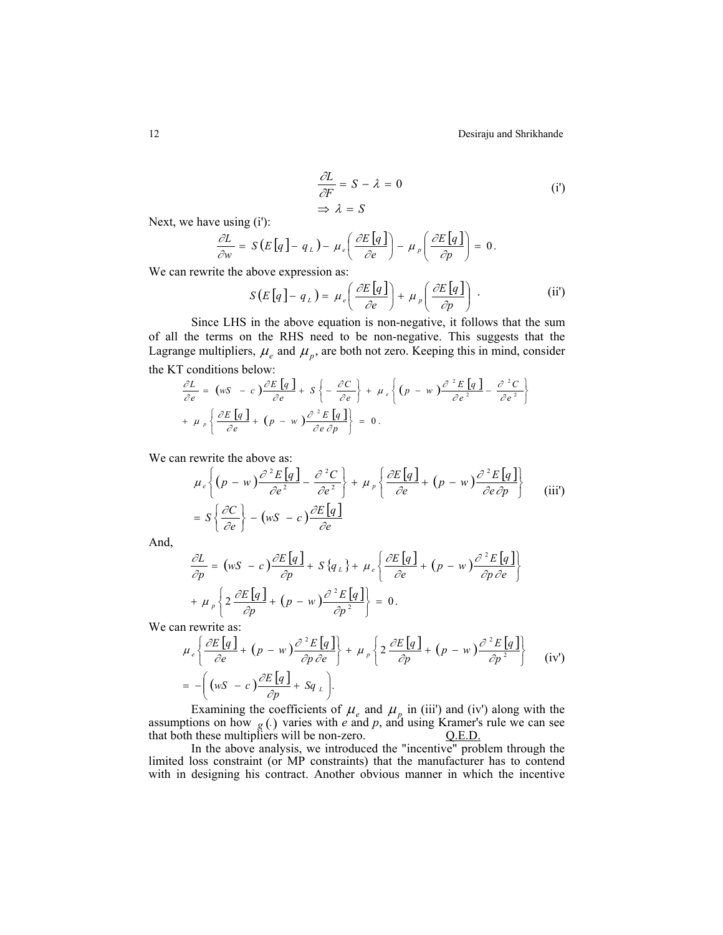12 Desiraju and Shrikhande

$$
\frac{\partial L}{\partial F} = S - \lambda = 0
$$
 (i')  
\n
$$
\Rightarrow \lambda = S
$$

Next, we have using (i'):

$$
\frac{\partial L}{\partial w} = S(E[q] - q_L) - \mu_e \left( \frac{\partial E[q]}{\partial e} \right) - \mu_p \left( \frac{\partial E[q]}{\partial p} \right) = 0.
$$

We can rewrite the above expression as:

$$
S(E[q] - q_L) = \mu_e \left( \frac{\partial E[q]}{\partial e} \right) + \mu_p \left( \frac{\partial E[q]}{\partial p} \right) . \tag{ii'}
$$

Since LHS in the above equation is non-negative, it follows that the sum of all the terms on the RHS need to be non-negative. This suggests that the Lagrange multipliers,  $\mu_e$  and  $\mu_p$ , are both not zero. Keeping this in mind, consider the KT conditions below:

$$
\frac{\partial L}{\partial e} = (wS - c)\frac{\partial E\left[q\right]}{\partial e} + S\left\{-\frac{\partial C}{\partial e}\right\} + \mu_e \left\{(p - w)\frac{\partial^2 E\left[q\right]}{\partial e^2} - \frac{\partial^2 C}{\partial e^2}\right\} + \mu_p \left\{\frac{\partial E\left[q\right]}{\partial e} + (p - w)\frac{\partial^2 E\left[q\right]}{\partial e \partial p}\right\} = 0.
$$

We can rewrite the above as:

$$
\mu_e \left\{ (p - w) \frac{\partial^2 E[q]}{\partial e^2} - \frac{\partial^2 C}{\partial e^2} \right\} + \mu_p \left\{ \frac{\partial E[q]}{\partial e} + (p - w) \frac{\partial^2 E[q]}{\partial e \partial p} \right\} \quad \text{(iii')}
$$
\n
$$
= S \left\{ \frac{\partial C}{\partial e} \right\} - (wS - c) \frac{\partial E[q]}{\partial e}
$$

And,

$$
\frac{\partial L}{\partial p} = (wS - c)\frac{\partial E[q]}{\partial p} + S\{q_L\} + \mu_e \left\{ \frac{\partial E[q]}{\partial e} + (p - w)\frac{\partial^2 E[q]}{\partial p \partial e} \right\} + \mu_p \left\{ 2\frac{\partial E[q]}{\partial p} + (p - w)\frac{\partial^2 E[q]}{\partial p^2} \right\} = 0.
$$

We can rewrite as:

$$
\mu_e \left\{ \frac{\partial E[q]}{\partial e} + (p - w) \frac{\partial^2 E[q]}{\partial p \partial e} \right\} + \mu_p \left\{ 2 \frac{\partial E[q]}{\partial p} + (p - w) \frac{\partial^2 E[q]}{\partial p^2} \right\} \quad (iv')
$$
  
= -\left( (wS - c) \frac{\partial E[q]}{\partial p} + Sq\_L \right).

Examining the coefficients of  $\mu_e$  and  $\mu_p$  in (iii') and (iv') along with the assumptions on how  $\varrho$  (.) varies with *e* and *p*, and using Kramer's rule we can see that both these multipliers will be non-zero.  $g(\cdot)$ Q.E.D.

In the above analysis, we introduced the "incentive" problem through the limited loss constraint (or MP constraints) that the manufacturer has to contend with in designing his contract. Another obvious manner in which the incentive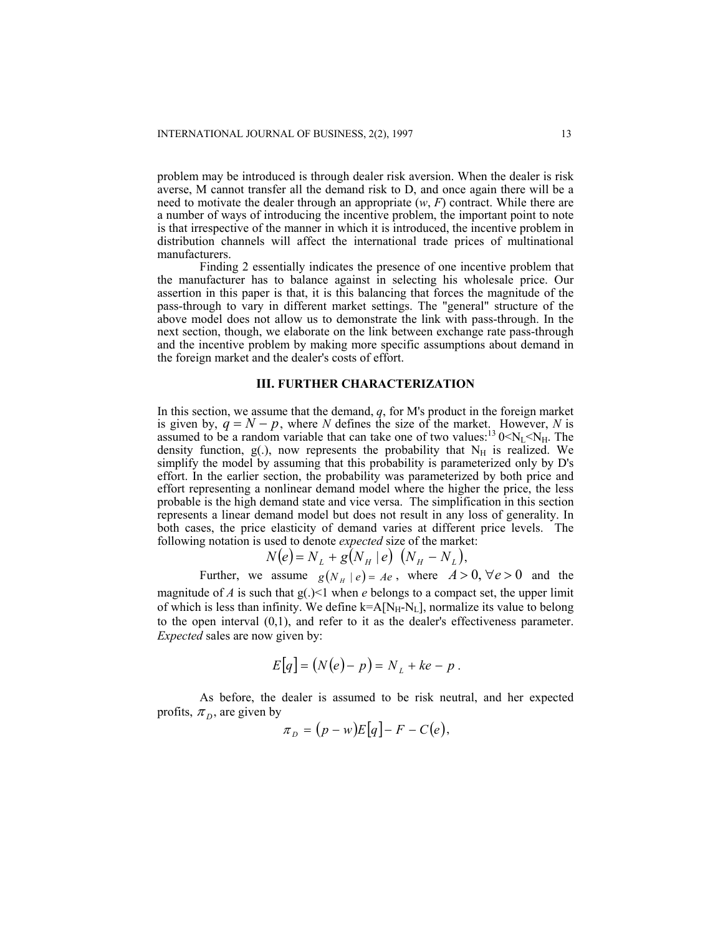problem may be introduced is through dealer risk aversion. When the dealer is risk averse, M cannot transfer all the demand risk to D, and once again there will be a need to motivate the dealer through an appropriate  $(w, F)$  contract. While there are a number of ways of introducing the incentive problem, the important point to note is that irrespective of the manner in which it is introduced, the incentive problem in distribution channels will affect the international trade prices of multinational manufacturers.

Finding 2 essentially indicates the presence of one incentive problem that the manufacturer has to balance against in selecting his wholesale price. Our assertion in this paper is that, it is this balancing that forces the magnitude of the pass-through to vary in different market settings. The "general" structure of the above model does not allow us to demonstrate the link with pass-through. In the next section, though, we elaborate on the link between exchange rate pass-through and the incentive problem by making more specific assumptions about demand in the foreign market and the dealer's costs of effort.

### **III. FURTHER CHARACTERIZATION**

In this section, we assume that the demand, *q*, for M's product in the foreign market is given by,  $q = N - p$ , where *N* defines the size of the market. However, *N* is assumed to be a random variable that can take one of two values:<sup>13</sup>  $0 < N_L < N_H$ . The density function,  $g(.)$ , now represents the probability that  $N_H$  is realized. We simplify the model by assuming that this probability is parameterized only by D's effort. In the earlier section, the probability was parameterized by both price and effort representing a nonlinear demand model where the higher the price, the less probable is the high demand state and vice versa. The simplification in this section represents a linear demand model but does not result in any loss of generality. In both cases, the price elasticity of demand varies at different price levels. The following notation is used to denote *expected* size of the market:

$$
N(e) = N_L + g(N_H | e) (N_H - N_L),
$$

Further, we assume  $g(N_H | e) = Ae$ , where  $A > 0$ ,  $\forall e > 0$  and the magnitude of  $A$  is such that  $g(.)<1$  when  $e$  belongs to a compact set, the upper limit of which is less than infinity. We define  $k= A[N_H-N_L]$ , normalize its value to belong to the open interval (0,1), and refer to it as the dealer's effectiveness parameter. *Expected* sales are now given by:

$$
E[q] = (N(e) - p) = NL + ke - p.
$$

As before, the dealer is assumed to be risk neutral, and her expected profits,  $\pi$ <sub>*D*</sub>, are given by

$$
\pi_D = (p - w)E[q] - F - C(e),
$$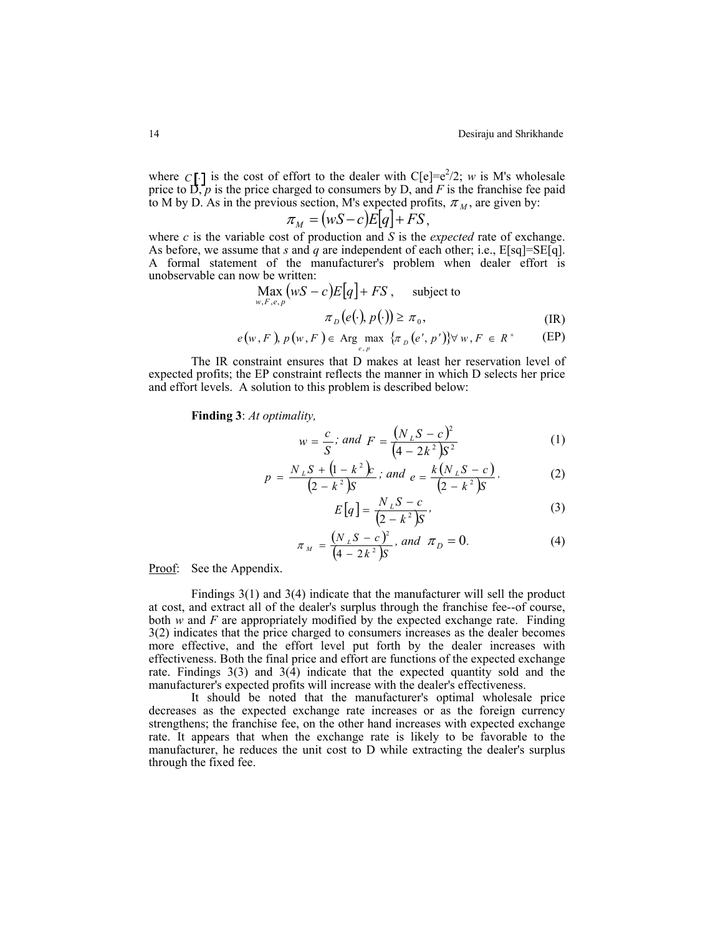where  $C[\cdot]$  is the cost of effort to the dealer with  $C[e]=e^2/2$ ; *w* is M's wholesale price to D, *p* is the price charged to consumers by D, and *F* is the franchise fee paid to M by D. As in the previous section, M's expected profits,  $\pi_M$ , are given by:

$$
\pi_M = (wS - c)E[q] + FS,
$$

where *c* is the variable cost of production and *S* is the *expected* rate of exchange. As before, we assume that *s* and *q* are independent of each other; i.e., E[sq]=SE[q]. A formal statement of the manufacturer's problem when dealer effort is unobservable can now be written:

$$
\begin{aligned} \underset{w, F, e, p}{\text{Max}} \left( wS - c \right) & E[q] + FS \,, \qquad \text{subject to} \\ \pi_D(e(\cdot), p(\cdot)) &\ge \pi_0, \end{aligned} \tag{IR}
$$

$$
e(w, F), p(w, F) \in \text{Arg} \max_{e, p} \{ \pi_D(e', p') \} \forall w, F \in R^+ \qquad (EP)
$$

The IR constraint ensures that D makes at least her reservation level of expected profits; the EP constraint reflects the manner in which D selects her price and effort levels. A solution to this problem is described below:

 **Finding 3**: *At optimality,* 

$$
w = \frac{c}{S}; \text{ and } F = \frac{(N_L S - c)^2}{(4 - 2k^2)S^2} \tag{1}
$$

$$
p = \frac{N_L S + (1 - k^2) c}{(2 - k^2) S}; \text{ and } e = \frac{k (N_L S - c)}{(2 - k^2) S}.
$$
 (2)

$$
E[q] = \frac{N_L S - c}{(2 - k^2)S},\tag{3}
$$

$$
\pi_M = \frac{(N_L S - c)^2}{(4 - 2k^2)S}, \text{ and } \pi_D = 0.
$$
 (4)

Proof: See the Appendix.

Findings 3(1) and 3(4) indicate that the manufacturer will sell the product at cost, and extract all of the dealer's surplus through the franchise fee--of course, both *w* and *F* are appropriately modified by the expected exchange rate. Finding 3(2) indicates that the price charged to consumers increases as the dealer becomes more effective, and the effort level put forth by the dealer increases with effectiveness. Both the final price and effort are functions of the expected exchange rate. Findings  $3(3)$  and  $3(4)$  indicate that the expected quantity sold and the manufacturer's expected profits will increase with the dealer's effectiveness.

It should be noted that the manufacturer's optimal wholesale price decreases as the expected exchange rate increases or as the foreign currency strengthens; the franchise fee, on the other hand increases with expected exchange rate. It appears that when the exchange rate is likely to be favorable to the manufacturer, he reduces the unit cost to D while extracting the dealer's surplus through the fixed fee.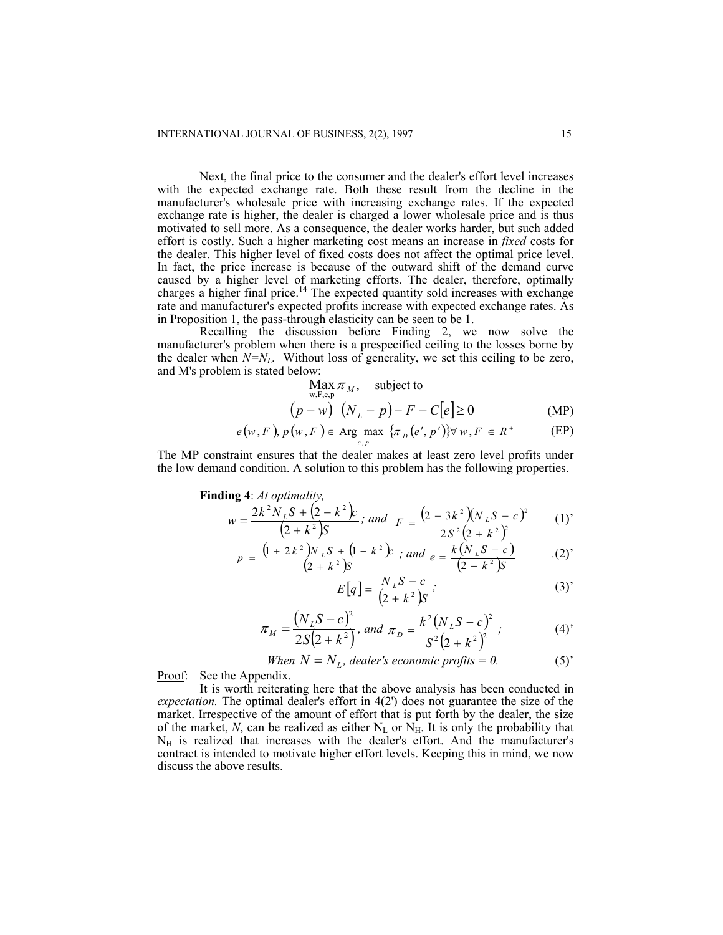Next, the final price to the consumer and the dealer's effort level increases with the expected exchange rate. Both these result from the decline in the manufacturer's wholesale price with increasing exchange rates. If the expected exchange rate is higher, the dealer is charged a lower wholesale price and is thus motivated to sell more. As a consequence, the dealer works harder, but such added effort is costly. Such a higher marketing cost means an increase in *fixed* costs for the dealer. This higher level of fixed costs does not affect the optimal price level. In fact, the price increase is because of the outward shift of the demand curve caused by a higher level of marketing efforts. The dealer, therefore, optimally charges a higher final price.<sup>14</sup> The expected quantity sold increases with exchange rate and manufacturer's expected profits increase with expected exchange rates. As in Proposition 1, the pass-through elasticity can be seen to be 1.

Recalling the discussion before Finding 2, we now solve the manufacturer's problem when there is a prespecified ceiling to the losses borne by the dealer when  $N=N_L$ . Without loss of generality, we set this ceiling to be zero, and M's problem is stated below:

$$
\begin{array}{ll}\n\text{Max } \pi_M, & \text{subject to} \\
(p - w) & (N_L - p) - F - C[e] \ge 0\n\end{array} \tag{MP}
$$

$$
e(w, F), p(w, F) \in \operatorname{Arg} \max_{e, p} \{ \pi_D(e', p') \} \forall w, F \in R^+ \tag{EP}
$$

The MP constraint ensures that the dealer makes at least zero level profits under the low demand condition. A solution to this problem has the following properties.

 **Finding 4**: *At optimality,* 

$$
w = \frac{2k^2 N_L S + (2 - k^2)k}{(2 + k^2)S}; \text{ and } F = \frac{(2 - 3k^2)(N_L S - c)^2}{2S^2(2 + k^2)^2}
$$
 (1)

$$
p = \frac{\left(1 + 2\,k^2\right)N_L S + \left(1 - k^2\right)k}{\left(2 + k^2\right)S}; \text{ and } e = \frac{k\left(N_L S - c\right)}{\left(2 + k^2\right)S} \tag{2'}
$$

$$
E[q] = \frac{N_L S - c}{(2 + k^2)S};
$$
\n(3)

$$
\pi_M = \frac{(N_L S - c)^2}{2S(2 + k^2)}, \text{ and } \pi_D = \frac{k^2 (N_L S - c)^2}{S^2 (2 + k^2)^2};
$$
 (4)

*When*  $N = N_L$ , dealer's economic profits = 0. (5)'

Proof: See the Appendix.

It is worth reiterating here that the above analysis has been conducted in *expectation.* The optimal dealer's effort in 4(2') does not guarantee the size of the market. Irrespective of the amount of effort that is put forth by the dealer, the size of the market, N, can be realized as either  $N_L$  or  $N_H$ . It is only the probability that  $N_H$  is realized that increases with the dealer's effort. And the manufacturer's contract is intended to motivate higher effort levels. Keeping this in mind, we now discuss the above results.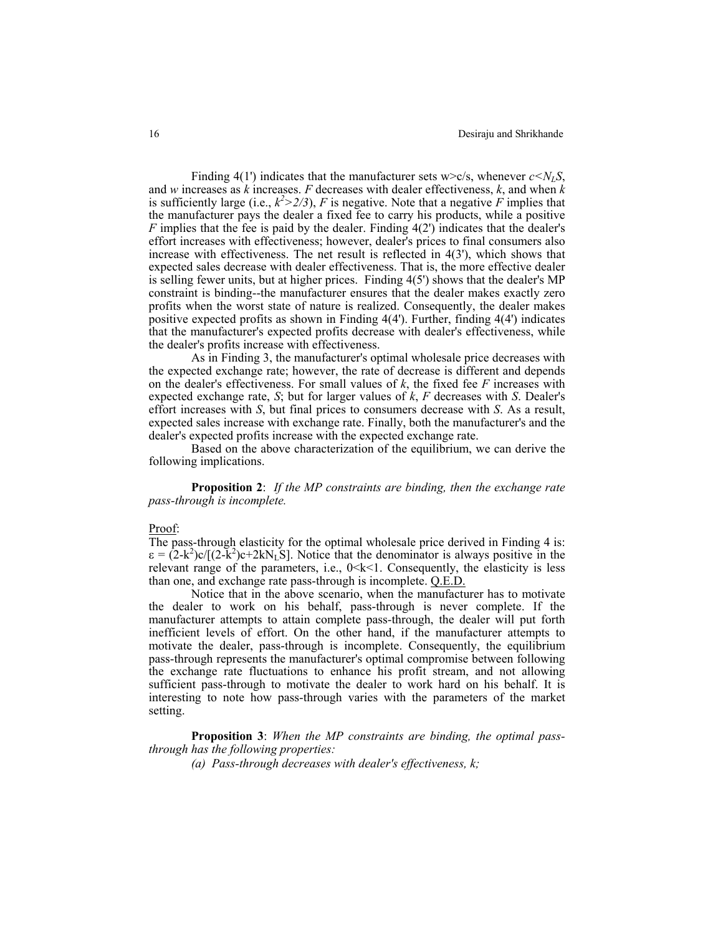Finding 4(1') indicates that the manufacturer sets w $\geq$ c/s, whenever  $c \leq N_L S$ , and *w* increases as *k* increases. *F* decreases with dealer effectiveness, *k*, and when *k* is sufficiently large (i.e.,  $k^2 > 2/3$ ), *F* is negative. Note that a negative *F* implies that the manufacturer pays the dealer a fixed fee to carry his products, while a positive *F* implies that the fee is paid by the dealer. Finding 4(2') indicates that the dealer's effort increases with effectiveness; however, dealer's prices to final consumers also increase with effectiveness. The net result is reflected in 4(3'), which shows that expected sales decrease with dealer effectiveness. That is, the more effective dealer is selling fewer units, but at higher prices. Finding 4(5') shows that the dealer's MP constraint is binding--the manufacturer ensures that the dealer makes exactly zero profits when the worst state of nature is realized. Consequently, the dealer makes positive expected profits as shown in Finding  $4(4')$ . Further, finding  $4(4')$  indicates that the manufacturer's expected profits decrease with dealer's effectiveness, while the dealer's profits increase with effectiveness.

 As in Finding 3, the manufacturer's optimal wholesale price decreases with the expected exchange rate; however, the rate of decrease is different and depends on the dealer's effectiveness. For small values of *k*, the fixed fee *F* increases with expected exchange rate, *S*; but for larger values of *k*, *F* decreases with *S*. Dealer's effort increases with *S*, but final prices to consumers decrease with *S*. As a result, expected sales increase with exchange rate. Finally, both the manufacturer's and the dealer's expected profits increase with the expected exchange rate.

 Based on the above characterization of the equilibrium, we can derive the following implications.

 **Proposition 2**: *If the MP constraints are binding, then the exchange rate pass-through is incomplete.*

#### Proof:

The pass-through elasticity for the optimal wholesale price derived in Finding 4 is:  $\varepsilon = (2-k^2)c/[(2-k^2)c+2kN_LS]$ . Notice that the denominator is always positive in the relevant range of the parameters, i.e.,  $0 \le k \le 1$ . Consequently, the elasticity is less than one, and exchange rate pass-through is incomplete. Q.E.D.

 Notice that in the above scenario, when the manufacturer has to motivate the dealer to work on his behalf, pass-through is never complete. If the manufacturer attempts to attain complete pass-through, the dealer will put forth inefficient levels of effort. On the other hand, if the manufacturer attempts to motivate the dealer, pass-through is incomplete. Consequently, the equilibrium pass-through represents the manufacturer's optimal compromise between following the exchange rate fluctuations to enhance his profit stream, and not allowing sufficient pass-through to motivate the dealer to work hard on his behalf. It is interesting to note how pass-through varies with the parameters of the market setting.

 **Proposition 3**: *When the MP constraints are binding, the optimal passthrough has the following properties:* 

 *(a) Pass-through decreases with dealer's effectiveness, k;*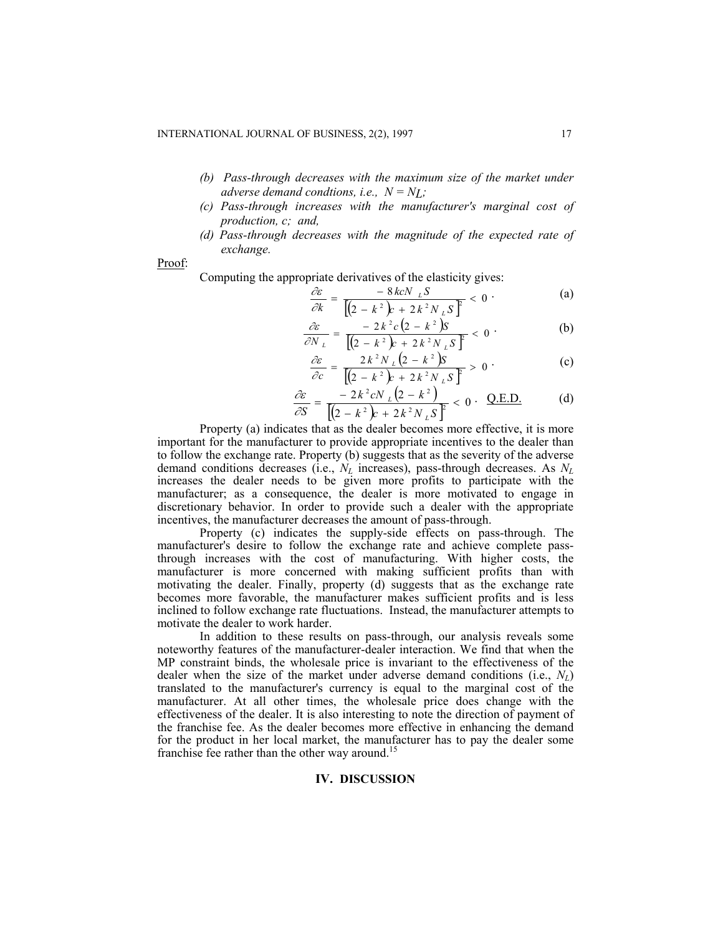- *(b) Pass-through decreases with the maximum size of the market under adverse demand condtions, i.e.,*  $N = N_L$ ;
- *(c) Pass-through increases with the manufacturer's marginal cost of production, c; and,*
- *(d) Pass-through decreases with the magnitude of the expected rate of exchange.*

Proof:

Computing the appropriate derivatives of the elasticity gives:

$$
\frac{\partial \varepsilon}{\partial k} = \frac{-8k c N_L S}{\left[ (2 - k^2) c + 2k^2 N_L S \right]^2} < 0 \tag{a}
$$

$$
\frac{\partial \varepsilon}{\partial N_L} = \frac{-2k^2c(2-k^2)S}{[(2-k^2)c + 2k^2N_LS]^2} < 0
$$
 (b)

$$
\frac{\partial \varepsilon}{\partial c} = \frac{2 k^2 N_L (2 - k^2) S}{[(2 - k^2) k + 2 k^2 N_L S]^2} > 0
$$
 (c)

$$
\frac{\partial \varepsilon}{\partial S} = \frac{-2k^2 c N_L (2 - k^2)}{[(2 - k^2) \varepsilon + 2k^2 N_L S]^2} < 0 \cdot \frac{\text{Q.E.D.}}{\text{Q.E.D.}} \tag{d}
$$

Property (a) indicates that as the dealer becomes more effective, it is more important for the manufacturer to provide appropriate incentives to the dealer than to follow the exchange rate. Property (b) suggests that as the severity of the adverse demand conditions decreases (i.e., *NL* increases), pass-through decreases. As *NL* increases the dealer needs to be given more profits to participate with the manufacturer; as a consequence, the dealer is more motivated to engage in discretionary behavior. In order to provide such a dealer with the appropriate incentives, the manufacturer decreases the amount of pass-through.

Property (c) indicates the supply-side effects on pass-through. The manufacturer's desire to follow the exchange rate and achieve complete passthrough increases with the cost of manufacturing. With higher costs, the manufacturer is more concerned with making sufficient profits than with motivating the dealer. Finally, property (d) suggests that as the exchange rate becomes more favorable, the manufacturer makes sufficient profits and is less inclined to follow exchange rate fluctuations. Instead, the manufacturer attempts to motivate the dealer to work harder.

In addition to these results on pass-through, our analysis reveals some noteworthy features of the manufacturer-dealer interaction. We find that when the MP constraint binds, the wholesale price is invariant to the effectiveness of the dealer when the size of the market under adverse demand conditions (i.e., *NL*) translated to the manufacturer's currency is equal to the marginal cost of the manufacturer. At all other times, the wholesale price does change with the effectiveness of the dealer. It is also interesting to note the direction of payment of the franchise fee. As the dealer becomes more effective in enhancing the demand for the product in her local market, the manufacturer has to pay the dealer some franchise fee rather than the other way around.<sup>15</sup>

### **IV. DISCUSSION**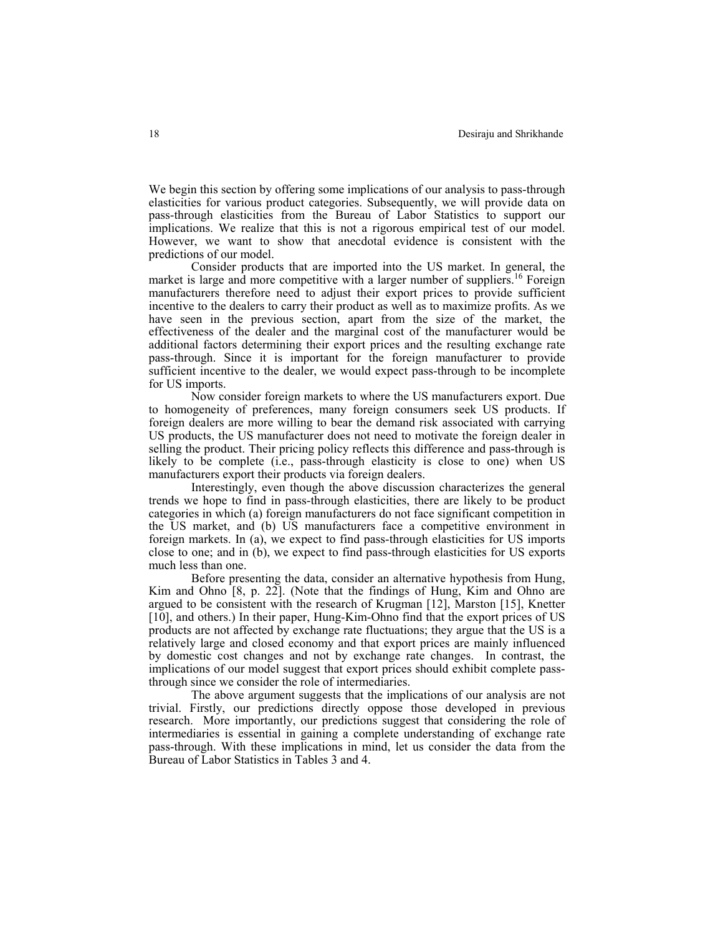We begin this section by offering some implications of our analysis to pass-through elasticities for various product categories. Subsequently, we will provide data on pass-through elasticities from the Bureau of Labor Statistics to support our implications. We realize that this is not a rigorous empirical test of our model. However, we want to show that anecdotal evidence is consistent with the predictions of our model.

 Consider products that are imported into the US market. In general, the market is large and more competitive with a larger number of suppliers.<sup>16</sup> Foreign manufacturers therefore need to adjust their export prices to provide sufficient incentive to the dealers to carry their product as well as to maximize profits. As we have seen in the previous section, apart from the size of the market, the effectiveness of the dealer and the marginal cost of the manufacturer would be additional factors determining their export prices and the resulting exchange rate pass-through. Since it is important for the foreign manufacturer to provide sufficient incentive to the dealer, we would expect pass-through to be incomplete for US imports.

 Now consider foreign markets to where the US manufacturers export. Due to homogeneity of preferences, many foreign consumers seek US products. If foreign dealers are more willing to bear the demand risk associated with carrying US products, the US manufacturer does not need to motivate the foreign dealer in selling the product. Their pricing policy reflects this difference and pass-through is likely to be complete (i.e., pass-through elasticity is close to one) when US manufacturers export their products via foreign dealers.

 Interestingly, even though the above discussion characterizes the general trends we hope to find in pass-through elasticities, there are likely to be product categories in which (a) foreign manufacturers do not face significant competition in the US market, and (b) US manufacturers face a competitive environment in foreign markets. In (a), we expect to find pass-through elasticities for US imports close to one; and in (b), we expect to find pass-through elasticities for US exports much less than one.

 Before presenting the data, consider an alternative hypothesis from Hung, Kim and Ohno [8, p. 22]. (Note that the findings of Hung, Kim and Ohno are argued to be consistent with the research of Krugman [12], Marston [15], Knetter [10], and others.) In their paper, Hung-Kim-Ohno find that the export prices of US products are not affected by exchange rate fluctuations; they argue that the US is a relatively large and closed economy and that export prices are mainly influenced by domestic cost changes and not by exchange rate changes. In contrast, the implications of our model suggest that export prices should exhibit complete passthrough since we consider the role of intermediaries.

 The above argument suggests that the implications of our analysis are not trivial. Firstly, our predictions directly oppose those developed in previous research. More importantly, our predictions suggest that considering the role of intermediaries is essential in gaining a complete understanding of exchange rate pass-through. With these implications in mind, let us consider the data from the Bureau of Labor Statistics in Tables 3 and 4.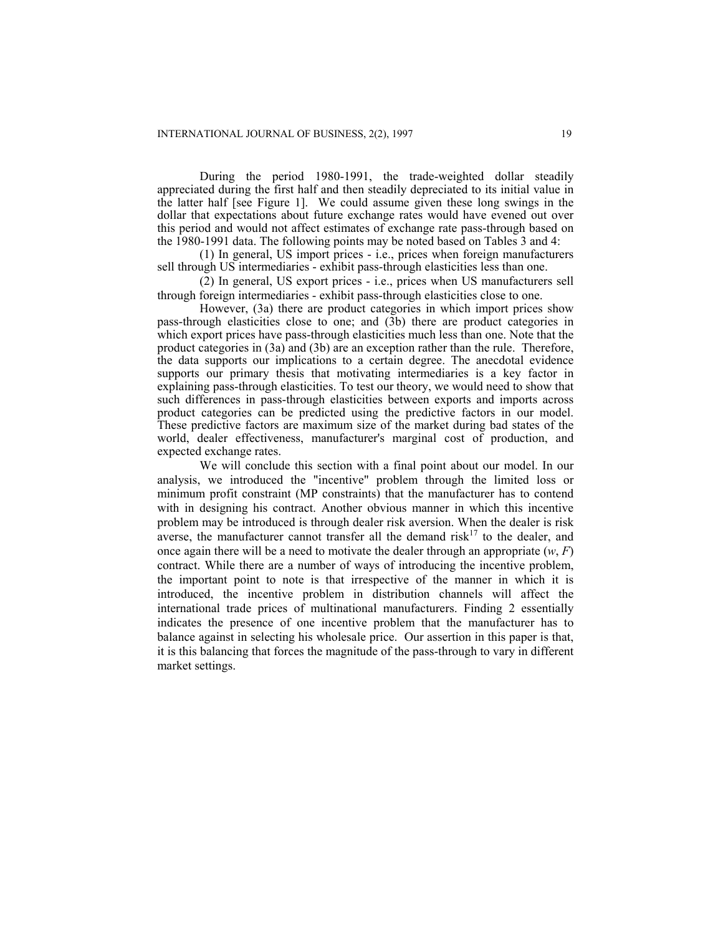During the period 1980-1991, the trade-weighted dollar steadily appreciated during the first half and then steadily depreciated to its initial value in the latter half [see Figure 1]. We could assume given these long swings in the dollar that expectations about future exchange rates would have evened out over this period and would not affect estimates of exchange rate pass-through based on the 1980-1991 data. The following points may be noted based on Tables 3 and 4:

(1) In general, US import prices - i.e., prices when foreign manufacturers sell through US intermediaries - exhibit pass-through elasticities less than one.

 (2) In general, US export prices - i.e., prices when US manufacturers sell through foreign intermediaries - exhibit pass-through elasticities close to one.

However, (3a) there are product categories in which import prices show pass-through elasticities close to one; and (3b) there are product categories in which export prices have pass-through elasticities much less than one. Note that the product categories in (3a) and (3b) are an exception rather than the rule. Therefore, the data supports our implications to a certain degree. The anecdotal evidence supports our primary thesis that motivating intermediaries is a key factor in explaining pass-through elasticities. To test our theory, we would need to show that such differences in pass-through elasticities between exports and imports across product categories can be predicted using the predictive factors in our model. These predictive factors are maximum size of the market during bad states of the world, dealer effectiveness, manufacturer's marginal cost of production, and expected exchange rates.

 We will conclude this section with a final point about our model. In our analysis, we introduced the "incentive" problem through the limited loss or minimum profit constraint (MP constraints) that the manufacturer has to contend with in designing his contract. Another obvious manner in which this incentive problem may be introduced is through dealer risk aversion. When the dealer is risk averse, the manufacturer cannot transfer all the demand risk<sup>17</sup> to the dealer, and once again there will be a need to motivate the dealer through an appropriate  $(w, F)$ contract. While there are a number of ways of introducing the incentive problem, the important point to note is that irrespective of the manner in which it is introduced, the incentive problem in distribution channels will affect the international trade prices of multinational manufacturers. Finding 2 essentially indicates the presence of one incentive problem that the manufacturer has to balance against in selecting his wholesale price. Our assertion in this paper is that, it is this balancing that forces the magnitude of the pass-through to vary in different market settings.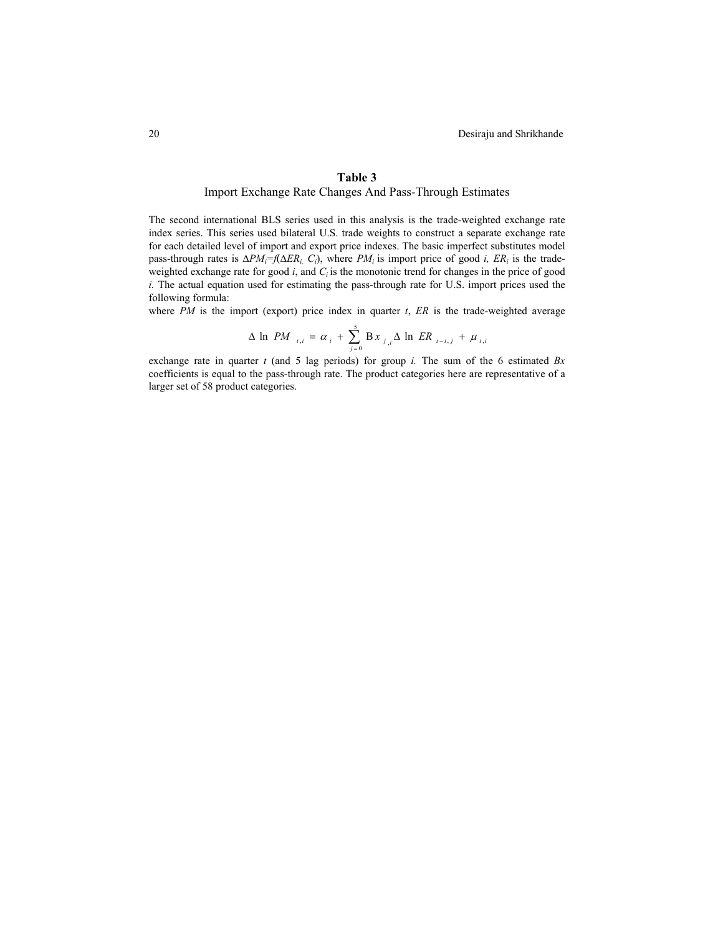### **Table 3**

### Import Exchange Rate Changes And Pass-Through Estimates

The second international BLS series used in this analysis is the trade-weighted exchange rate index series. This series used bilateral U.S. trade weights to construct a separate exchange rate for each detailed level of import and export price indexes. The basic imperfect substitutes model pass-through rates is ∆*PMi=f*(∆*ERi, Ci*), where *PMi* is import price of good *i, ERi* is the tradeweighted exchange rate for good *i*, and *Ci* is the monotonic trend for changes in the price of good *i.* The actual equation used for estimating the pass-through rate for U.S. import prices used the following formula:

where  $PM$  is the import (export) price index in quarter  $t$ ,  $ER$  is the trade-weighted average

$$
\Delta \ln PM_{i,i} = \alpha_i + \sum_{j=0}^{5} Bx_{j,i} \Delta \ln ER_{i-i,j} + \mu_{i,i}
$$

exchange rate in quarter *t* (and 5 lag periods) for group *i.* The sum of the 6 estimated *Bx* coefficients is equal to the pass-through rate. The product categories here are representative of a larger set of 58 product categories.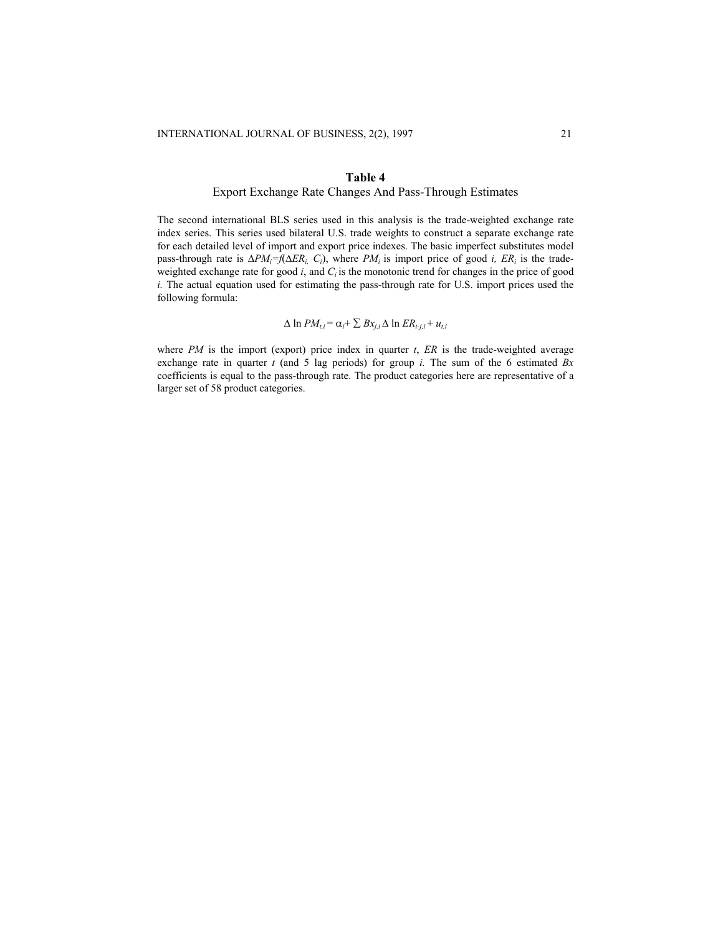#### **Table 4**

### Export Exchange Rate Changes And Pass-Through Estimates

The second international BLS series used in this analysis is the trade-weighted exchange rate index series. This series used bilateral U.S. trade weights to construct a separate exchange rate for each detailed level of import and export price indexes. The basic imperfect substitutes model pass-through rate is  $\Delta PM_i = f(\Delta ER_i, C_i)$ , where *PM<sub>i</sub>* is import price of good *i*, ER<sub>i</sub> is the tradeweighted exchange rate for good *i*, and *C<sub>i</sub>* is the monotonic trend for changes in the price of good *i.* The actual equation used for estimating the pass-through rate for U.S. import prices used the following formula:

$$
\Delta \ln PM_{t,i} = \alpha_i + \sum Bx_{j,i} \Delta \ln ER_{t-j,i} + u_{t,i}
$$

where  $PM$  is the import (export) price index in quarter  $t$ ,  $ER$  is the trade-weighted average exchange rate in quarter *t* (and 5 lag periods) for group *i.* The sum of the 6 estimated *Bx* coefficients is equal to the pass-through rate. The product categories here are representative of a larger set of 58 product categories.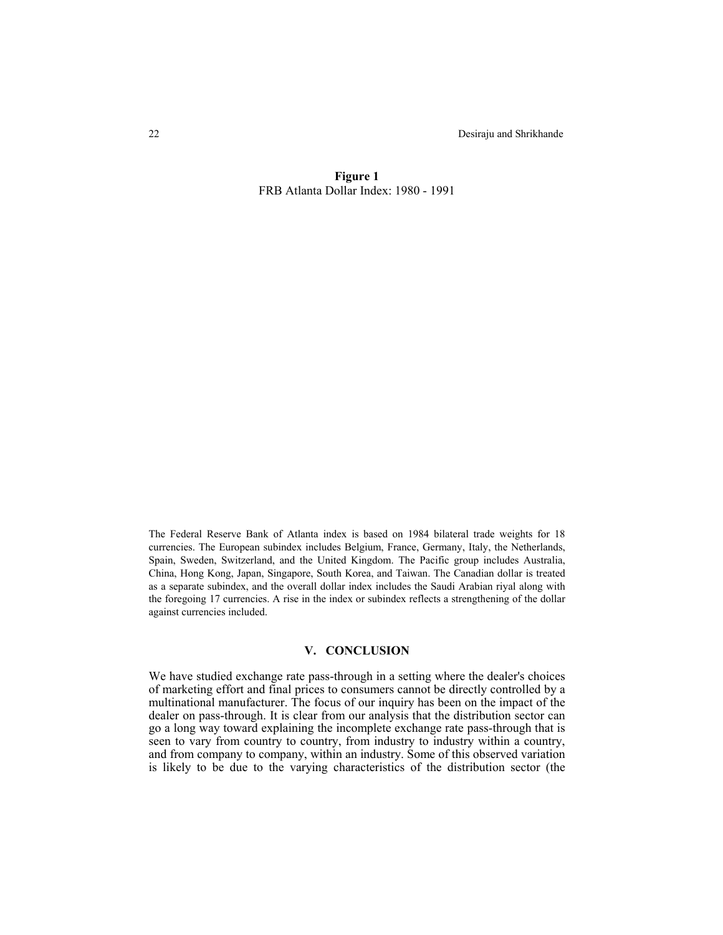### **Figure 1**  FRB Atlanta Dollar Index: 1980 - 1991

The Federal Reserve Bank of Atlanta index is based on 1984 bilateral trade weights for 18 currencies. The European subindex includes Belgium, France, Germany, Italy, the Netherlands, Spain, Sweden, Switzerland, and the United Kingdom. The Pacific group includes Australia, China, Hong Kong, Japan, Singapore, South Korea, and Taiwan. The Canadian dollar is treated as a separate subindex, and the overall dollar index includes the Saudi Arabian riyal along with the foregoing 17 currencies. A rise in the index or subindex reflects a strengthening of the dollar against currencies included.

### **V. CONCLUSION**

We have studied exchange rate pass-through in a setting where the dealer's choices of marketing effort and final prices to consumers cannot be directly controlled by a multinational manufacturer. The focus of our inquiry has been on the impact of the dealer on pass-through. It is clear from our analysis that the distribution sector can go a long way toward explaining the incomplete exchange rate pass-through that is seen to vary from country to country, from industry to industry within a country, and from company to company, within an industry. Some of this observed variation is likely to be due to the varying characteristics of the distribution sector (the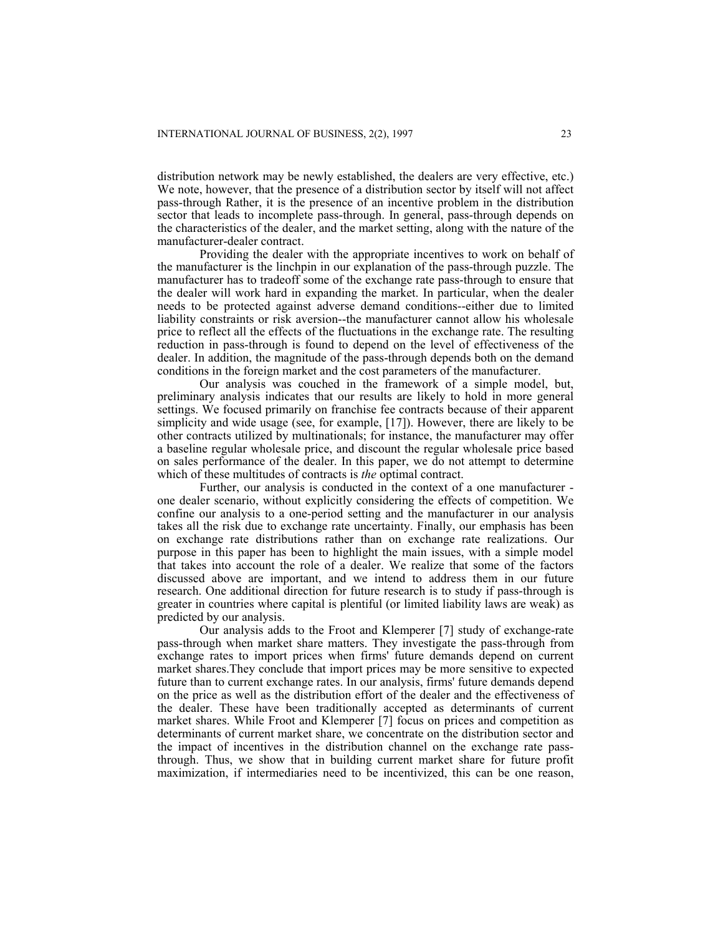distribution network may be newly established, the dealers are very effective, etc.) We note, however, that the presence of a distribution sector by itself will not affect pass-through Rather, it is the presence of an incentive problem in the distribution sector that leads to incomplete pass-through. In general, pass-through depends on the characteristics of the dealer, and the market setting, along with the nature of the manufacturer-dealer contract.

 Providing the dealer with the appropriate incentives to work on behalf of the manufacturer is the linchpin in our explanation of the pass-through puzzle. The manufacturer has to tradeoff some of the exchange rate pass-through to ensure that the dealer will work hard in expanding the market. In particular, when the dealer needs to be protected against adverse demand conditions--either due to limited liability constraints or risk aversion--the manufacturer cannot allow his wholesale price to reflect all the effects of the fluctuations in the exchange rate. The resulting reduction in pass-through is found to depend on the level of effectiveness of the dealer. In addition, the magnitude of the pass-through depends both on the demand conditions in the foreign market and the cost parameters of the manufacturer.

 Our analysis was couched in the framework of a simple model, but, preliminary analysis indicates that our results are likely to hold in more general settings. We focused primarily on franchise fee contracts because of their apparent simplicity and wide usage (see, for example, [17]). However, there are likely to be other contracts utilized by multinationals; for instance, the manufacturer may offer a baseline regular wholesale price, and discount the regular wholesale price based on sales performance of the dealer. In this paper, we do not attempt to determine which of these multitudes of contracts is *the* optimal contract.

 Further, our analysis is conducted in the context of a one manufacturer one dealer scenario, without explicitly considering the effects of competition. We confine our analysis to a one-period setting and the manufacturer in our analysis takes all the risk due to exchange rate uncertainty. Finally, our emphasis has been on exchange rate distributions rather than on exchange rate realizations. Our purpose in this paper has been to highlight the main issues, with a simple model that takes into account the role of a dealer. We realize that some of the factors discussed above are important, and we intend to address them in our future research. One additional direction for future research is to study if pass-through is greater in countries where capital is plentiful (or limited liability laws are weak) as predicted by our analysis.

 Our analysis adds to the Froot and Klemperer [7] study of exchange-rate pass-through when market share matters. They investigate the pass-through from exchange rates to import prices when firms' future demands depend on current market shares.They conclude that import prices may be more sensitive to expected future than to current exchange rates. In our analysis, firms' future demands depend on the price as well as the distribution effort of the dealer and the effectiveness of the dealer. These have been traditionally accepted as determinants of current market shares. While Froot and Klemperer [7] focus on prices and competition as determinants of current market share, we concentrate on the distribution sector and the impact of incentives in the distribution channel on the exchange rate passthrough. Thus, we show that in building current market share for future profit maximization, if intermediaries need to be incentivized, this can be one reason,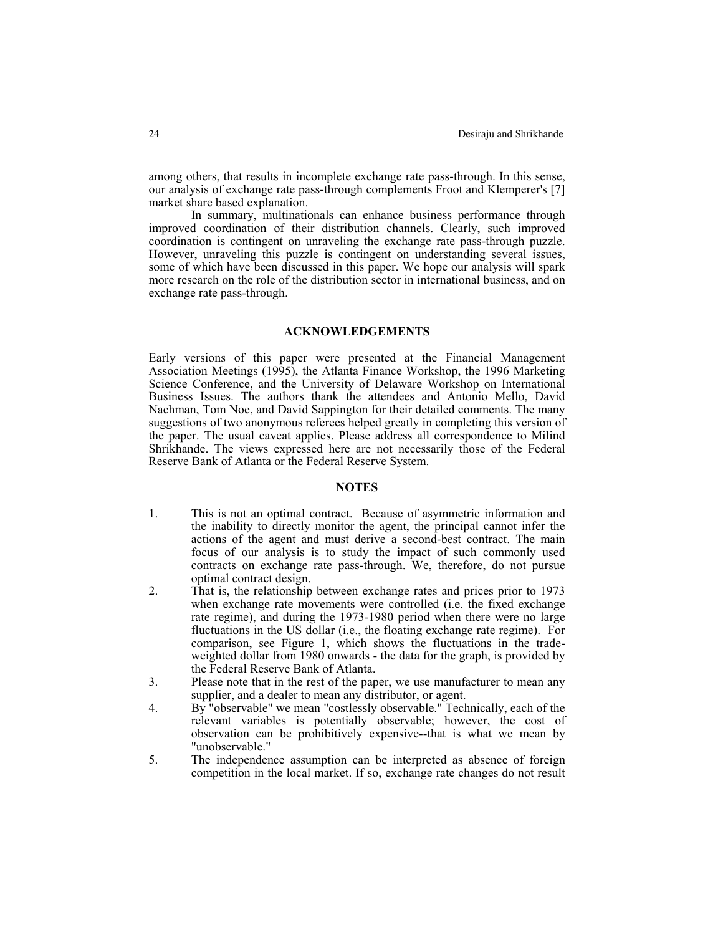among others, that results in incomplete exchange rate pass-through. In this sense, our analysis of exchange rate pass-through complements Froot and Klemperer's [7] market share based explanation.

 In summary, multinationals can enhance business performance through improved coordination of their distribution channels. Clearly, such improved coordination is contingent on unraveling the exchange rate pass-through puzzle. However, unraveling this puzzle is contingent on understanding several issues, some of which have been discussed in this paper. We hope our analysis will spark more research on the role of the distribution sector in international business, and on exchange rate pass-through.

### **ACKNOWLEDGEMENTS**

Early versions of this paper were presented at the Financial Management Association Meetings (1995), the Atlanta Finance Workshop, the 1996 Marketing Science Conference, and the University of Delaware Workshop on International Business Issues. The authors thank the attendees and Antonio Mello, David Nachman, Tom Noe, and David Sappington for their detailed comments. The many suggestions of two anonymous referees helped greatly in completing this version of the paper. The usual caveat applies. Please address all correspondence to Milind Shrikhande. The views expressed here are not necessarily those of the Federal Reserve Bank of Atlanta or the Federal Reserve System.

### **NOTES**

- 1. This is not an optimal contract. Because of asymmetric information and the inability to directly monitor the agent, the principal cannot infer the actions of the agent and must derive a second-best contract. The main focus of our analysis is to study the impact of such commonly used contracts on exchange rate pass-through. We, therefore, do not pursue optimal contract design.
- 2. That is, the relationship between exchange rates and prices prior to 1973 when exchange rate movements were controlled (i.e. the fixed exchange rate regime), and during the 1973-1980 period when there were no large fluctuations in the US dollar (i.e., the floating exchange rate regime). For comparison, see Figure 1, which shows the fluctuations in the tradeweighted dollar from 1980 onwards - the data for the graph, is provided by the Federal Reserve Bank of Atlanta.
- 3. Please note that in the rest of the paper, we use manufacturer to mean any supplier, and a dealer to mean any distributor, or agent.
- 4. By "observable" we mean "costlessly observable." Technically, each of the relevant variables is potentially observable; however, the cost of observation can be prohibitively expensive--that is what we mean by "unobservable."
- 5. The independence assumption can be interpreted as absence of foreign competition in the local market. If so, exchange rate changes do not result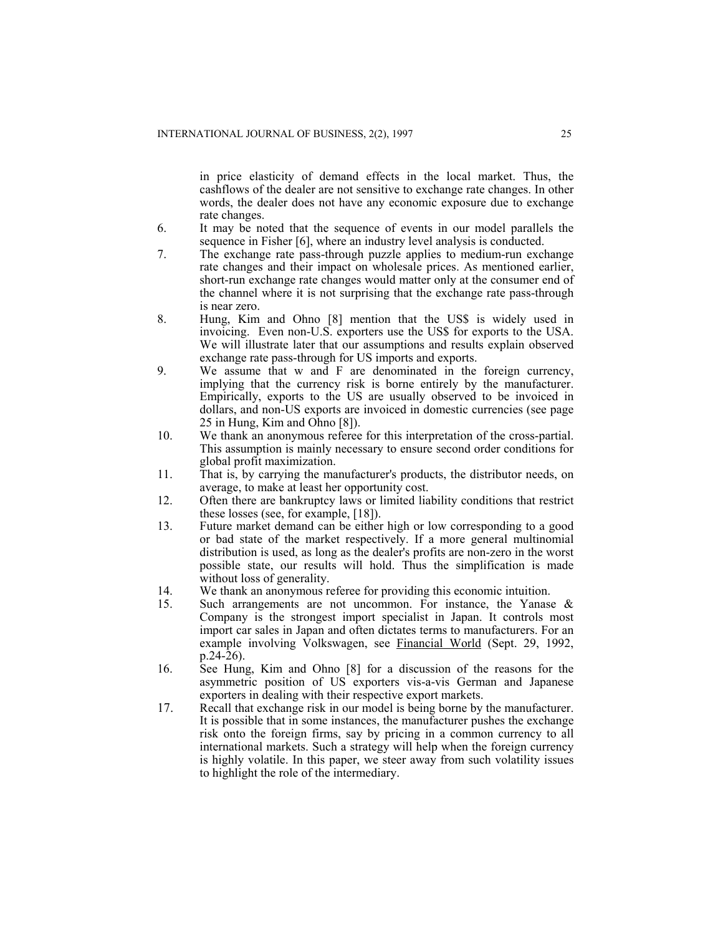in price elasticity of demand effects in the local market. Thus, the cashflows of the dealer are not sensitive to exchange rate changes. In other words, the dealer does not have any economic exposure due to exchange rate changes.

- 6. It may be noted that the sequence of events in our model parallels the sequence in Fisher [6], where an industry level analysis is conducted.
- 7. The exchange rate pass-through puzzle applies to medium-run exchange rate changes and their impact on wholesale prices. As mentioned earlier, short-run exchange rate changes would matter only at the consumer end of the channel where it is not surprising that the exchange rate pass-through is near zero.
- 8. Hung, Kim and Ohno [8] mention that the US\$ is widely used in invoicing. Even non-U.S. exporters use the US\$ for exports to the USA. We will illustrate later that our assumptions and results explain observed exchange rate pass-through for US imports and exports.
- 9. We assume that w and F are denominated in the foreign currency, implying that the currency risk is borne entirely by the manufacturer. Empirically, exports to the US are usually observed to be invoiced in dollars, and non-US exports are invoiced in domestic currencies (see page 25 in Hung, Kim and Ohno [8]).
- 10. We thank an anonymous referee for this interpretation of the cross-partial. This assumption is mainly necessary to ensure second order conditions for global profit maximization.
- 11. That is, by carrying the manufacturer's products, the distributor needs, on average, to make at least her opportunity cost.
- 12. Often there are bankruptcy laws or limited liability conditions that restrict these losses (see, for example, [18]).
- 13. Future market demand can be either high or low corresponding to a good or bad state of the market respectively. If a more general multinomial distribution is used, as long as the dealer's profits are non-zero in the worst possible state, our results will hold. Thus the simplification is made without loss of generality.
- 14. We thank an anonymous referee for providing this economic intuition.
- 15. Such arrangements are not uncommon. For instance, the Yanase & Company is the strongest import specialist in Japan. It controls most import car sales in Japan and often dictates terms to manufacturers. For an example involving Volkswagen, see Financial World (Sept. 29, 1992,  $p.24-26$ ).
- 16. See Hung, Kim and Ohno [8] for a discussion of the reasons for the asymmetric position of US exporters vis-a-vis German and Japanese exporters in dealing with their respective export markets.
- 17. Recall that exchange risk in our model is being borne by the manufacturer. It is possible that in some instances, the manufacturer pushes the exchange risk onto the foreign firms, say by pricing in a common currency to all international markets. Such a strategy will help when the foreign currency is highly volatile. In this paper, we steer away from such volatility issues to highlight the role of the intermediary.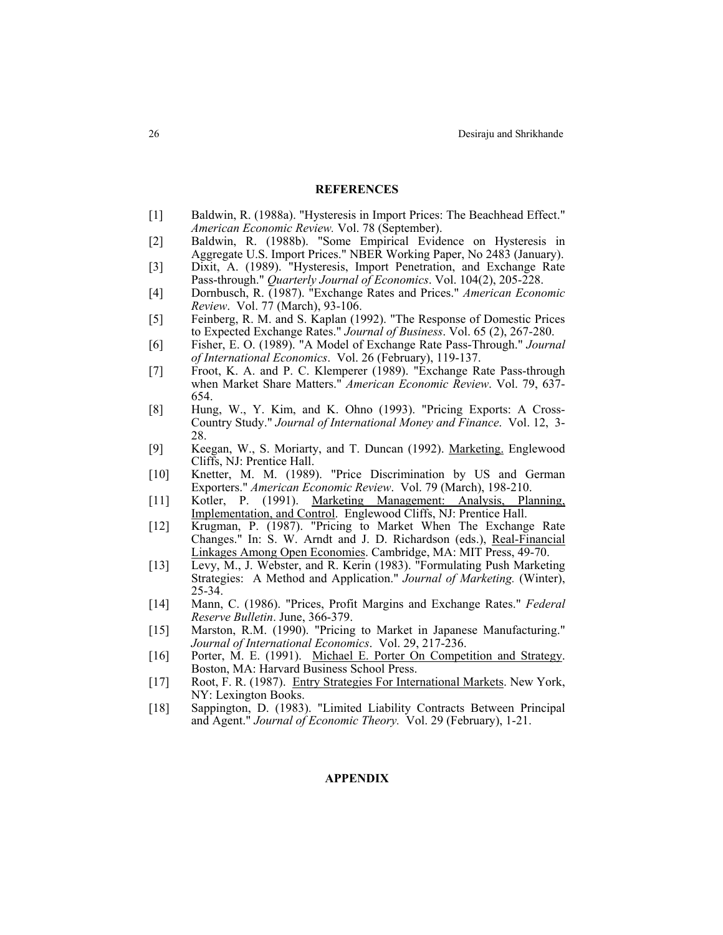#### **REFERENCES**

- [1] Baldwin, R. (1988a). "Hysteresis in Import Prices: The Beachhead Effect." *American Economic Review.* Vol. 78 (September).
- [2] Baldwin, R. (1988b). "Some Empirical Evidence on Hysteresis in Aggregate U.S. Import Prices." NBER Working Paper, No 2483 (January).
- [3] Dixit, A. (1989). "Hysteresis, Import Penetration, and Exchange Rate Pass-through." *Quarterly Journal of Economics*. Vol. 104(2), 205-228.
- [4] Dornbusch, R. (1987). "Exchange Rates and Prices." *American Economic Review*. Vol. 77 (March), 93-106.
- [5] Feinberg, R. M. and S. Kaplan (1992). "The Response of Domestic Prices to Expected Exchange Rates." *Journal of Business*. Vol. 65 (2), 267-280.
- [6] Fisher, E. O. (1989). "A Model of Exchange Rate Pass-Through." *Journal of International Economics*. Vol. 26 (February), 119-137.
- [7] Froot, K. A. and P. C. Klemperer (1989). "Exchange Rate Pass-through when Market Share Matters." *American Economic Review*. Vol. 79, 637- 654.
- [8] Hung, W., Y. Kim, and K. Ohno (1993). "Pricing Exports: A Cross-Country Study." *Journal of International Money and Finance*. Vol. 12, 3- 28.
- [9] Keegan, W., S. Moriarty, and T. Duncan (1992). Marketing. Englewood Cliffs, NJ: Prentice Hall.
- [10] Knetter, M. M. (1989). "Price Discrimination by US and German Exporters." *American Economic Review*. Vol. 79 (March), 198-210.
- [11] Kotler, P. (1991). Marketing Management: Analysis, Planning, Implementation, and Control. Englewood Cliffs, NJ: Prentice Hall.
- [12] Krugman, P. (1987). "Pricing to Market When The Exchange Rate Changes." In: S. W. Arndt and J. D. Richardson (eds.), Real-Financial Linkages Among Open Economies. Cambridge, MA: MIT Press, 49-70.
- [13] Levy, M., J. Webster, and R. Kerin (1983). "Formulating Push Marketing Strategies: A Method and Application." *Journal of Marketing.* (Winter), 25-34.
- [14] Mann, C. (1986). "Prices, Profit Margins and Exchange Rates." *Federal Reserve Bulletin*. June, 366-379.
- [15] Marston, R.M. (1990). "Pricing to Market in Japanese Manufacturing." *Journal of International Economics*. Vol. 29, 217-236.
- [16] Porter, M. E. (1991). Michael E. Porter On Competition and Strategy. Boston, MA: Harvard Business School Press.
- [17] Root, F. R. (1987). Entry Strategies For International Markets. New York, NY: Lexington Books.
- [18] Sappington, D. (1983). "Limited Liability Contracts Between Principal and Agent." *Journal of Economic Theory.* Vol. 29 (February), 1-21.

### **APPENDIX**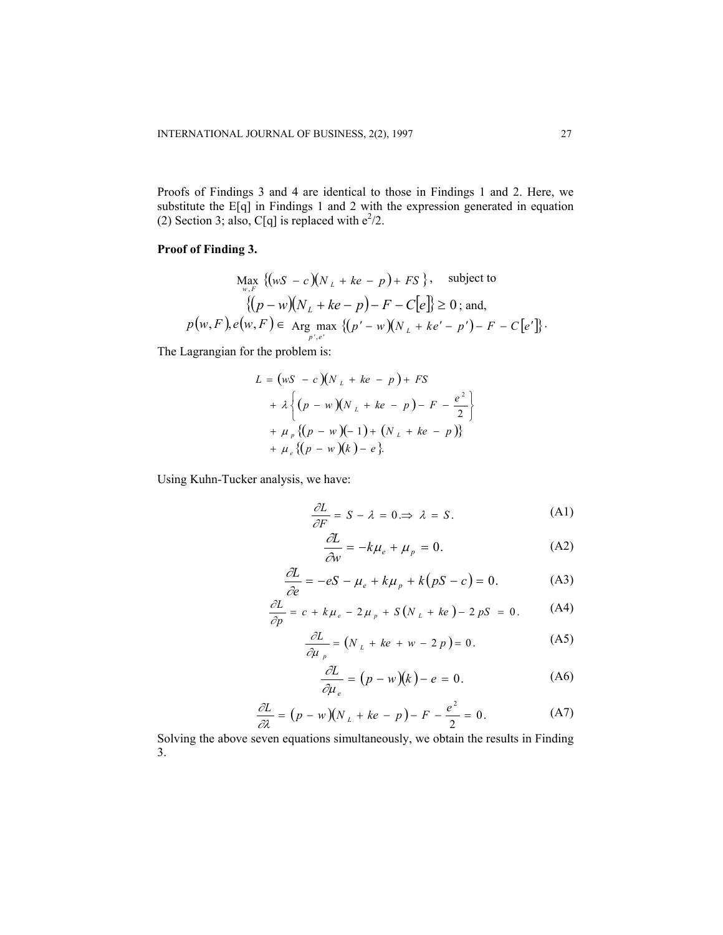Proofs of Findings 3 and 4 are identical to those in Findings 1 and 2. Here, we substitute the E[q] in Findings 1 and 2 with the expression generated in equation (2) Section 3; also, C[q] is replaced with  $e^2/2$ .

# **Proof of Finding 3.**

$$
\begin{aligned}\n\text{Max } \left\{ (wS - c)(N_L + ke - p) + FS \right\}, & \text{subject to} \\
& \left\{ (p - w)(N_L + ke - p) - F - C[e] \right\} \ge 0 \, ; \\
& \text{and,} \\
p(w, F), e(w, F) \in \text{Arg} \max_{p', e'} \left\{ (p' - w)(N_L + ke' - p') - F - C[e'] \right\}.\n\end{aligned}
$$

The Lagrangian for the problem is:

$$
L = (wS - c)(N_L + ke - p) + FS
$$
  
+  $\lambda \left\{ (p - w)(N_L + ke - p) - F - \frac{e^2}{2} \right\}$   
+  $\mu_p \left\{ (p - w)(-1) + (N_L + ke - p) \right\}$   
+  $\mu_e \left\{ (p - w)(k) - e \right\}$ .

Using Kuhn-Tucker analysis, we have:

$$
\frac{\partial L}{\partial F} = S - \lambda = 0 \Rightarrow \lambda = S. \tag{A1}
$$

$$
\frac{\partial L}{\partial w} = -k\mu_e + \mu_p = 0.
$$
 (A2)

$$
\frac{\partial L}{\partial e} = -eS - \mu_e + k\mu_p + k(pS - c) = 0.
$$
 (A3)

$$
\frac{\partial L}{\partial p} = c + k\mu_e - 2\mu_p + S(N_L + ke) - 2pS = 0.
$$
 (A4)

$$
\frac{\partial L}{\partial \mu_p} = \left( N_L + ke + w - 2p \right) = 0. \tag{A5}
$$

$$
\frac{\partial L}{\partial \mu_e} = (p - w)(k) - e = 0.
$$
 (A6)

$$
\frac{\partial L}{\partial \lambda} = (p - w)(N_L + ke - p) - F - \frac{e^2}{2} = 0.
$$
 (A7)

Solving the above seven equations simultaneously, we obtain the results in Finding 3.